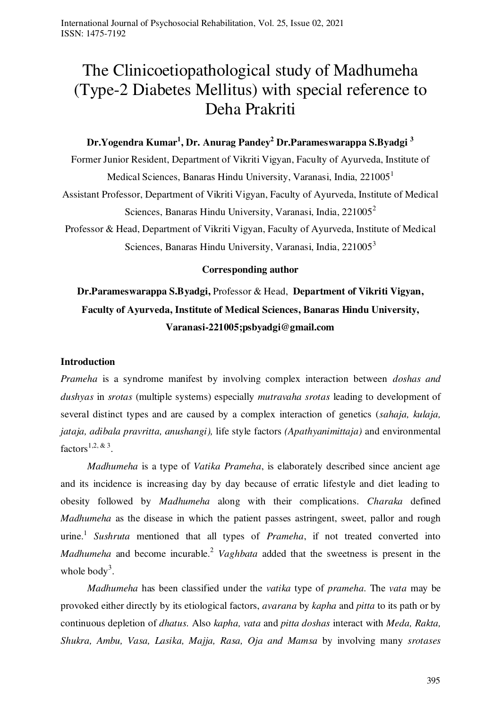# The Clinicoetiopathological study of Madhumeha (Type-2 Diabetes Mellitus) with special reference to Deha Prakriti

# **Dr.Yogendra Kumar<sup>1</sup> , Dr. Anurag Pandey<sup>2</sup> Dr.Parameswarappa S.Byadgi <sup>3</sup>**

Former Junior Resident, Department of Vikriti Vigyan, Faculty of Ayurveda, Institute of Medical Sciences, Banaras Hindu University, Varanasi, India, 221005<sup>1</sup> Assistant Professor, Department of Vikriti Vigyan, Faculty of Ayurveda, Institute of Medical Sciences, Banaras Hindu University, Varanasi, India,  $221005^2$ 

Professor & Head, Department of Vikriti Vigyan, Faculty of Ayurveda, Institute of Medical Sciences, Banaras Hindu University, Varanasi, India, 221005<sup>3</sup>

#### **Corresponding author**

# **Dr.Parameswarappa S.Byadgi,** Professor & Head, **Department of Vikriti Vigyan, Faculty of Ayurveda, Institute of Medical Sciences, Banaras Hindu University, Varanasi-221005;psbyadgi@gmail.com**

#### **Introduction**

*Prameha* is a syndrome manifest by involving complex interaction between *doshas and dushyas* in *srotas* (multiple systems) especially *mutravaha srotas* leading to development of several distinct types and are caused by a complex interaction of genetics (*sahaja, kulaja, jataja, adibala pravritta, anushangi),* life style factors *(Apathyanimittaja)* and environmental factors<sup>1,2, & 3</sup>.

*Madhumeha* is a type of *Vatika Prameha*, is elaborately described since ancient age and its incidence is increasing day by day because of erratic lifestyle and diet leading to obesity followed by *Madhumeha* along with their complications. *Charaka* defined *Madhumeha* as the disease in which the patient passes astringent, sweet, pallor and rough urine.<sup>1</sup> *Sushruta* mentioned that all types of *Prameha*, if not treated converted into *Madhumeha* and become incurable.<sup>2</sup> *Vaghbata* added that the sweetness is present in the whole body<sup>3</sup>.

*Madhumeha* has been classified under the *vatika* type of *prameha.* The *vata* may be provoked either directly by its etiological factors, *avarana* by *kapha* and *pitta* to its path or by continuous depletion of *dhatus.* Also *kapha, vata* and *pitta doshas* interact with *Meda, Rakta, Shukra, Ambu, Vasa, Lasika, Majja, Rasa, Oja and Mamsa* by involving many *srotases*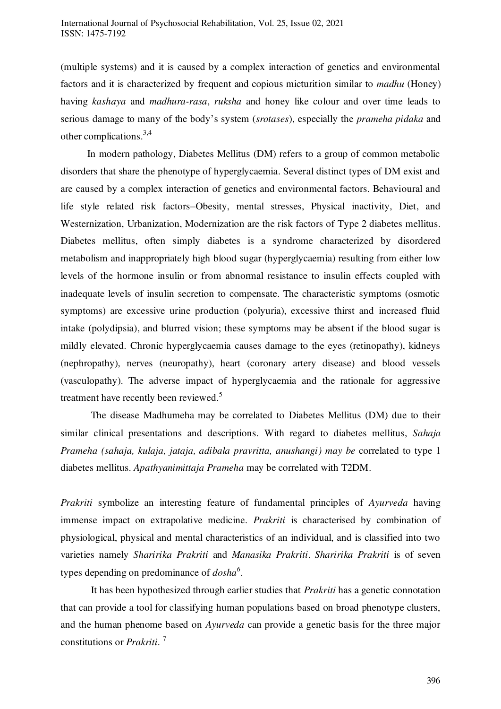(multiple systems) and it is caused by a complex interaction of genetics and environmental factors and it is characterized by frequent and copious micturition similar to *madhu* (Honey) having *kashaya* and *madhura-rasa*, *ruksha* and honey like colour and over time leads to serious damage to many of the body's system (*srotases*), especially the *prameha pidaka* and other complications.3,4

In modern pathology, Diabetes Mellitus (DM) refers to a group of common metabolic disorders that share the phenotype of hyperglycaemia. Several distinct types of DM exist and are caused by a complex interaction of genetics and environmental factors. Behavioural and life style related risk factors–Obesity, mental stresses, Physical inactivity, Diet, and Westernization, Urbanization, Modernization are the risk factors of Type 2 diabetes mellitus. Diabetes mellitus, often simply diabetes is a [syndrome](http://en.wikipedia.org/wiki/Syndrome) characterized by disordered [metabolism](http://en.wikipedia.org/wiki/Metabolism) and inappropriately high [blood sugar](http://en.wikipedia.org/wiki/Blood_sugar) (hyperglycaemia) resulting from either low levels of the [hormone](http://en.wikipedia.org/wiki/Hormone) [insulin](http://en.wikipedia.org/wiki/Insulin) or from abnormal [resistance to insulin effects](http://en.wikipedia.org/wiki/Insulin_resistance) coupled with inadequate levels of insulin secretion to compensate. The characteristic symptoms (osmotic symptoms) are excessive urine production [\(polyuria\)](http://en.wikipedia.org/wiki/Polyuria), excessive thirst and increased fluid intake [\(polydipsia\)](http://en.wikipedia.org/wiki/Polydipsia), and blurred vision; these symptoms may be absent if the blood sugar is mildly elevated. Chronic hyperglycaemia causes damage to the eyes (retinopathy), kidneys (nephropathy), nerves (neuropathy), heart (coronary artery disease) and blood vessels (vasculopathy). The adverse impact of hyperglycaemia and the rationale for aggressive treatment have recently been reviewed.<sup>5</sup>

The disease Madhumeha may be correlated to Diabetes Mellitus (DM) due to their similar clinical presentations and descriptions. With regard to diabetes mellitus, *Sahaja Prameha (sahaja, kulaja, jataja, adibala pravritta, anushangi) may be* correlated to type 1 diabetes mellitus. *Apathyanimittaja Prameha* may be correlated with T2DM.

*Prakriti* symbolize an interesting feature of fundamental principles of *Ayurveda* having immense impact on extrapolative medicine. *Prakriti* is characterised by combination of physiological, physical and mental characteristics of an individual, and is classified into two varieties namely *Sharirika Prakriti* and *Manasika Prakriti*. *Sharirika Prakriti* is of seven types depending on predominance of *dosha<sup>6</sup>* .

It has been hypothesized through earlier studies that *Prakriti* has a genetic connotation that can provide a tool for classifying human populations based on broad phenotype clusters, and the human phenome based on *Ayurveda* can provide a genetic basis for the three major constitutions or *Prakriti.* <sup>7</sup>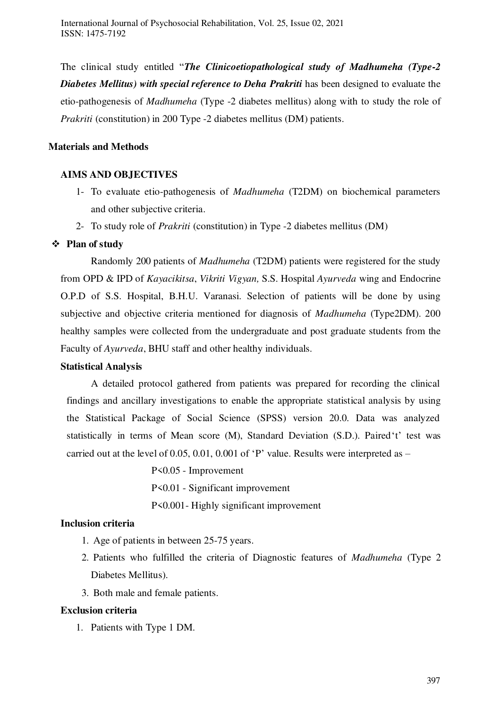The clinical study entitled "*The Clinicoetiopathological study of Madhumeha (Type-2 Diabetes Mellitus) with special reference to Deha Prakriti* has been designed to evaluate the etio-pathogenesis of *Madhumeha* (Type -2 diabetes mellitus) along with to study the role of *Prakriti* (constitution) in 200 Type -2 diabetes mellitus (DM) patients.

# **Materials and Methods**

# **AIMS AND OBJECTIVES**

- 1- To evaluate etio-pathogenesis of *Madhumeha* (T2DM) on biochemical parameters and other subjective criteria.
- 2- To study role of *Prakriti* (constitution) in Type -2 diabetes mellitus (DM)

# **Plan of study**

 Randomly 200 patients of *Madhumeha* (T2DM) patients were registered for the study from OPD & IPD of *Kayacikitsa*, *Vikriti Vigyan,* S.S. Hospital *Ayurveda* wing and Endocrine O.P.D of S.S. Hospital, B.H.U. Varanasi. Selection of patients will be done by using subjective and objective criteria mentioned for diagnosis of *Madhumeha* (Type2DM). 200 healthy samples were collected from the undergraduate and post graduate students from the Faculty of *Ayurveda*, BHU staff and other healthy individuals.

# **Statistical Analysis**

 A detailed protocol gathered from patients was prepared for recording the clinical findings and ancillary investigations to enable the appropriate statistical analysis by using the Statistical Package of Social Science (SPSS) version 20.0. Data was analyzed statistically in terms of Mean score (M), Standard Deviation (S.D.). Paired't' test was carried out at the level of 0.05, 0.01, 0.001 of 'P' value. Results were interpreted as –

> P<0.05 - Improvement P<0.01 - Significant improvement P<0.001- Highly significant improvement

# **Inclusion criteria**

- 1. Age of patients in between 25-75 years.
- 2. Patients who fulfilled the criteria of Diagnostic features of *Madhumeha* (Type 2 Diabetes Mellitus).
- 3. Both male and female patients.

# **Exclusion criteria**

1. Patients with Type 1 DM.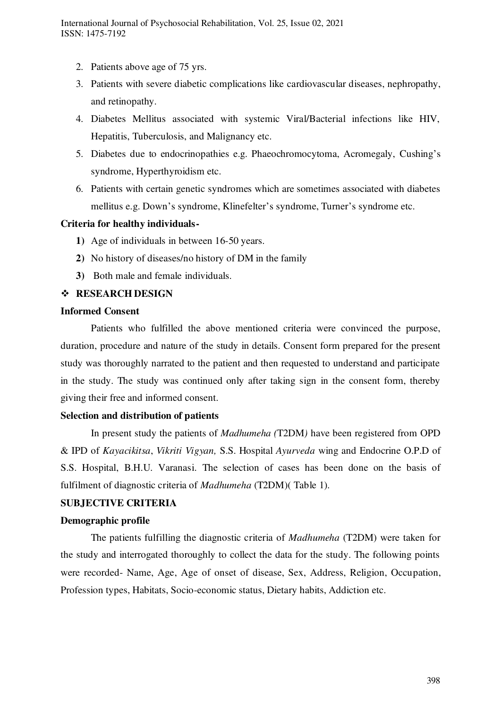- 2. Patients above age of 75 yrs.
- 3. Patients with severe diabetic complications like cardiovascular diseases, nephropathy, and retinopathy.
- 4. Diabetes Mellitus associated with systemic Viral/Bacterial infections like HIV, Hepatitis, Tuberculosis, and Malignancy etc.
- 5. Diabetes due to endocrinopathies e.g. Phaeochromocytoma, Acromegaly, Cushing's syndrome, Hyperthyroidism etc.
- 6. Patients with certain genetic syndromes which are sometimes associated with diabetes mellitus e.g. Down's syndrome, Klinefelter's syndrome, Turner's syndrome etc.

#### **Criteria for healthy individuals-**

- **1)** Age of individuals in between 16-50 years.
- **2)** No history of diseases/no history of DM in the family
- **3)** Both male and female individuals.

#### **RESEARCH DESIGN**

#### **Informed Consent**

 Patients who fulfilled the above mentioned criteria were convinced the purpose, duration, procedure and nature of the study in details. Consent form prepared for the present study was thoroughly narrated to the patient and then requested to understand and participate in the study. The study was continued only after taking sign in the consent form, thereby giving their free and informed consent.

#### **Selection and distribution of patients**

 In present study the patients of *Madhumeha (*T2DM*)* have been registered from OPD & IPD of *Kayacikitsa*, *Vikriti Vigyan,* S.S. Hospital *Ayurveda* wing and Endocrine O.P.D of S.S. Hospital, B.H.U. Varanasi. The selection of cases has been done on the basis of fulfilment of diagnostic criteria of *Madhumeha* (T2DM)( Table 1).

#### **SUBJECTIVE CRITERIA**

#### **Demographic profile**

The patients fulfilling the diagnostic criteria of *Madhumeha* (T2DM) were taken for the study and interrogated thoroughly to collect the data for the study. The following points were recorded- Name, Age, Age of onset of disease, Sex, Address, Religion, Occupation, Profession types, Habitats, Socio-economic status, Dietary habits, Addiction etc.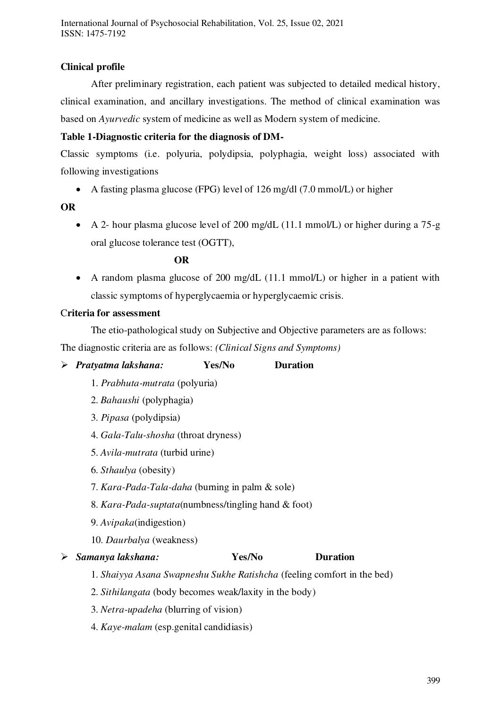# **Clinical profile**

After preliminary registration, each patient was subjected to detailed medical history, clinical examination, and ancillary investigations. The method of clinical examination was based on *Ayurvedic* system of medicine as well as Modern system of medicine.

# **Table 1-Diagnostic criteria for the diagnosis of DM-**

Classic symptoms (i.e. polyuria, polydipsia, polyphagia, weight loss) associated with following investigations

A fasting plasma glucose (FPG) level of 126 mg/dl (7.0 mmol/L) or higher

# **OR**

 A 2- hour plasma glucose level of 200 mg/dL (11.1 mmol/L) or higher during a 75-g oral glucose tolerance test (OGTT),

# *OR*

 A random plasma glucose of 200 mg/dL (11.1 mmol/L) or higher in a patient with classic symptoms of hyperglycaemia or hyperglycaemic crisis.

# C**riteria for assessment**

 The etio-pathological study on Subjective and Objective parameters are as follows: The diagnostic criteria are as follows: *(Clinical Signs and Symptoms)*

*Pratyatma lakshana:* **Yes/No Duration** 

- 1. *Prabhuta-mutrata* (polyuria)
- 2. *Bahaushi* (polyphagia)
- 3. *Pipasa* (polydipsia)
- 4. *Gala-Talu-shosha* (throat dryness)
- 5. *Avila-mutrata* (turbid urine)
- 6. *Sthaulya* (obesity)
- 7. *Kara-Pada-Tala-daha* (burning in palm & sole)
- 8. *Kara-Pada-suptata*(numbness/tingling hand & foot)
- 9. *Avipaka*(indigestion)
- 10. *Daurbalya* (weakness)

# *Samanya lakshana:* **Yes/No Duration**

- 1. *Shaiyya Asana Swapneshu Sukhe Ratishcha* (feeling comfort in the bed)
- 2. *Sithilangata* (body becomes weak/laxity in the body)
- 3. *Netra-upadeha* (blurring of vision)
- 4. *Kaye-malam* (esp.genital candidiasis)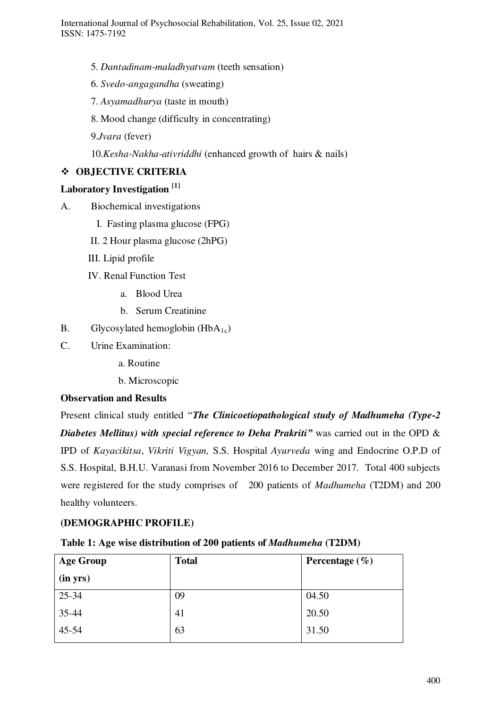- 5. *Dantadinam-maladhyatvam* (teeth sensation)
- 6. *Svedo-angagandha* (sweating)
- 7. *Asyamadhurya* (taste in mouth)
- 8. Mood change (difficulty in concentrating)
- 9.*Jvara* (fever)

10.*Kesha-Nakha-ativriddhi* (enhanced growth of hairs & nails)

# **OBJECTIVE CRITERIA**

#### **Laboratory Investigation [1]**

- A. Biochemical investigations
	- I. Fasting plasma glucose (FPG)
	- II. 2 Hour plasma glucose (2hPG)
	- III. Lipid profile
	- IV. Renal Function Test
		- a. Blood Urea
		- b. Serum Creatinine
- B. Glycosylated hemoglobin  $(HbA_{1c})$
- C. Urine Examination:
	- a. Routine
	- b. Microscopic

#### **Observation and Results**

Present clinical study entitled "*The Clinicoetiopathological study of Madhumeha (Type-2 Diabetes Mellitus) with special reference to Deha Prakriti<sup>"</sup> was carried out in the OPD &* IPD of *Kayacikitsa*, *Vikriti Vigyan,* S.S. Hospital *Ayurveda* wing and Endocrine O.P.D of S.S. Hospital, B.H.U. Varanasi from November 2016 to December 2017. Total 400 subjects were registered for the study comprises of 200 patients of *Madhumeha* (T2DM) and 200 healthy volunteers.

# **(DEMOGRAPHIC PROFILE)**

| Table 1: Age wise distribution of 200 patients of Madhumeha (T2DM) |
|--------------------------------------------------------------------|
|--------------------------------------------------------------------|

| <b>Age Group</b> | <b>Total</b> | Percentage $(\% )$ |
|------------------|--------------|--------------------|
| (in yrs)         |              |                    |
| $25 - 34$        | 09           | 04.50              |
| $35 - 44$        | 41           | 20.50              |
| $45 - 54$        | 63           | 31.50              |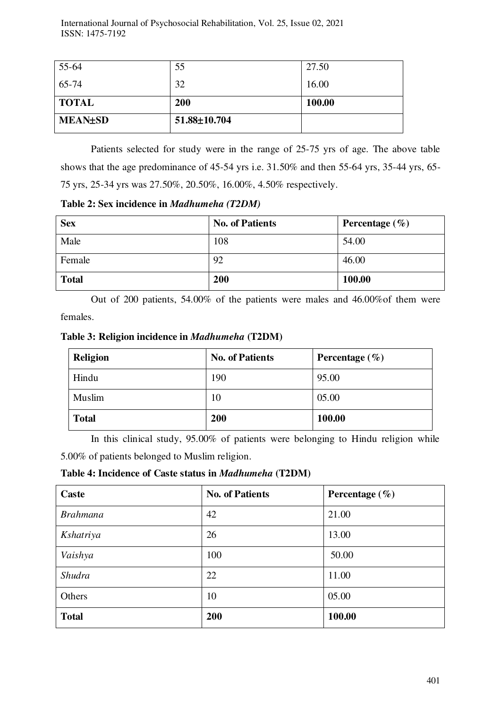| 55-64          | 55           | 27.50  |
|----------------|--------------|--------|
| 65-74          | 32           | 16.00  |
| <b>TOTAL</b>   | <b>200</b>   | 100.00 |
| <b>MEAN±SD</b> | 51.88±10.704 |        |

Patients selected for study were in the range of 25-75 yrs of age. The above table shows that the age predominance of 45-54 yrs i.e. 31.50% and then 55-64 yrs, 35-44 yrs, 65- 75 yrs, 25-34 yrs was 27.50%, 20.50%, 16.00%, 4.50% respectively.

**Table 2: Sex incidence in** *Madhumeha (T2DM)*

| <b>Sex</b>   | <b>No. of Patients</b> | Percentage $(\% )$ |
|--------------|------------------------|--------------------|
| Male         | 108                    | 54.00              |
| Female       | 92                     | 46.00              |
| <b>Total</b> | 200                    | 100.00             |

 Out of 200 patients, 54.00% of the patients were males and 46.00%of them were females.

**Table 3: Religion incidence in** *Madhumeha* **(T2DM)**

| Religion     | <b>No. of Patients</b> | Percentage $(\% )$ |
|--------------|------------------------|--------------------|
| Hindu        | 190                    | 95.00              |
| Muslim       | 10                     | 05.00              |
| <b>Total</b> | 200                    | 100.00             |

 In this clinical study, 95.00% of patients were belonging to Hindu religion while 5.00% of patients belonged to Muslim religion.

**Table 4: Incidence of Caste status in** *Madhumeha* **(T2DM)** 

| Caste           | <b>No. of Patients</b> | Percentage $(\% )$ |
|-----------------|------------------------|--------------------|
| <b>Brahmana</b> | 42                     | 21.00              |
| Kshatriya       | 26                     | 13.00              |
| Vaishya         | 100                    | 50.00              |
| Shudra          | 22                     | 11.00              |
| Others          | 10                     | 05.00              |
| <b>Total</b>    | 200                    | 100.00             |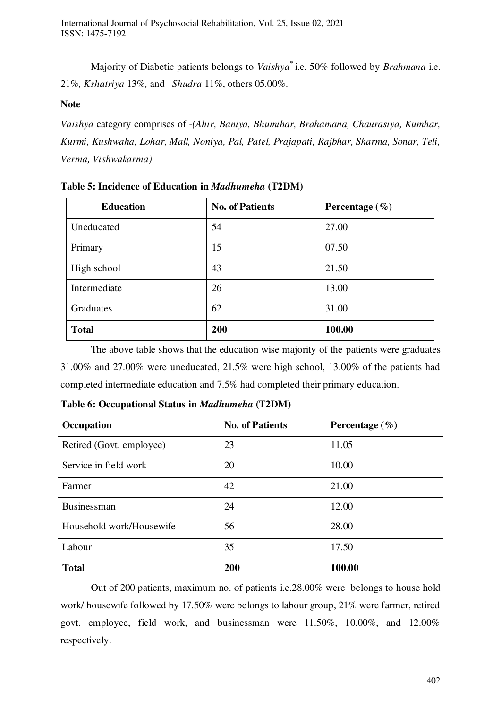Majority of Diabetic patients belongs to *Vaishya\** i.e. 50% followed by *Brahmana* i.e. 21%*, Kshatriya* 13%*,* and *Shudra* 11%, others 05.00%.

#### **Note**

*Vaishya* category comprises of -*(Ahir, Baniya, Bhumihar, Brahamana, Chaurasiya, Kumhar, Kurmi, Kushwaha, Lohar, Mall, Noniya, Pal, Patel, Prajapati, Rajbhar, Sharma, Sonar, Teli, Verma, Vishwakarma)*

| <b>Education</b> | <b>No. of Patients</b> | Percentage $(\% )$ |
|------------------|------------------------|--------------------|
| Uneducated       | 54                     | 27.00              |
| Primary          | 15                     | 07.50              |
| High school      | 43                     | 21.50              |
| Intermediate     | 26                     | 13.00              |
| Graduates        | 62                     | 31.00              |
| <b>Total</b>     | 200                    | 100.00             |

**Table 5: Incidence of Education in** *Madhumeha* **(T2DM)** 

 The above table shows that the education wise majority of the patients were graduates 31.00% and 27.00% were uneducated, 21.5% were high school, 13.00% of the patients had completed intermediate education and 7.5% had completed their primary education.

| Occupation               | <b>No. of Patients</b> | Percentage $(\% )$ |
|--------------------------|------------------------|--------------------|
| Retired (Govt. employee) | 23                     | 11.05              |
| Service in field work    | 20                     | 10.00              |
| Farmer                   | 42                     | 21.00              |
| Businessman              | 24                     | 12.00              |
| Household work/Housewife | 56                     | 28.00              |
| Labour                   | 35                     | 17.50              |
| <b>Total</b>             | 200                    | 100.00             |

**Table 6: Occupational Status in** *Madhumeha* **(T2DM)** 

Out of 200 patients, maximum no. of patients i.e.28.00% were belongs to house hold work/ housewife followed by 17.50% were belongs to labour group, 21% were farmer, retired govt. employee, field work, and businessman were 11.50%, 10.00%, and 12.00% respectively.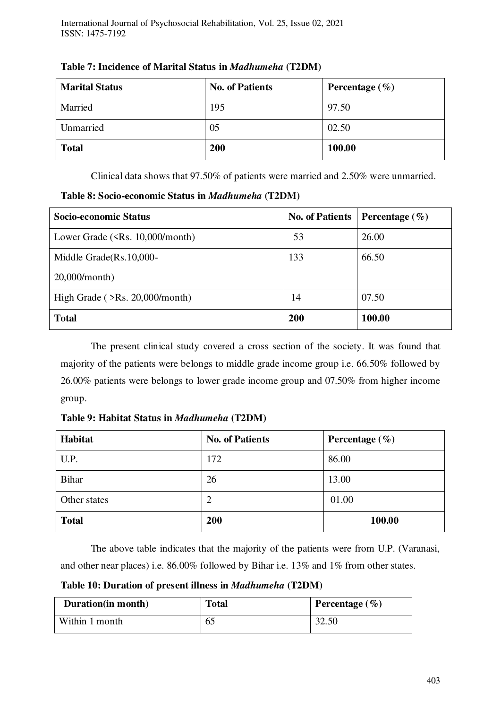| <b>Marital Status</b> | <b>No. of Patients</b> | Percentage $(\% )$ |
|-----------------------|------------------------|--------------------|
| Married               | 195                    | 97.50              |
| Unmarried             | 05                     | 02.50              |
| <b>Total</b>          | 200                    | 100.00             |

**Table 7: Incidence of Marital Status in** *Madhumeha* **(T2DM)**

Clinical data shows that 97.50% of patients were married and 2.50% were unmarried.

**Table 8: Socio-economic Status in** *Madhumeha* **(T2DM)** 

| Socio-economic Status                                           | <b>No. of Patients</b> | Percentage $(\% )$ |
|-----------------------------------------------------------------|------------------------|--------------------|
| Lower Grade $(\langle \text{Rs. } 10,000 \rangle \text{month})$ | 53                     | 26.00              |
| Middle Grade(Rs.10,000-                                         | 133                    | 66.50              |
| $20,000/m$ onth)                                                |                        |                    |
| High Grade $($ >Rs. 20,000/month)                               | 14                     | 07.50              |
| <b>Total</b>                                                    | 200                    | 100.00             |

The present clinical study covered a cross section of the society. It was found that majority of the patients were belongs to middle grade income group i.e. 66.50% followed by 26.00% patients were belongs to lower grade income group and 07.50% from higher income group.

**Table 9: Habitat Status in** *Madhumeha* **(T2DM)**

| <b>Habitat</b> | <b>No. of Patients</b> | Percentage $(\% )$ |
|----------------|------------------------|--------------------|
| U.P.           | 172                    | 86.00              |
| <b>Bihar</b>   | 26                     | 13.00              |
| Other states   | 2                      | 01.00              |
| <b>Total</b>   | 200                    | 100.00             |

The above table indicates that the majority of the patients were from U.P. (Varanasi, and other near places) i.e. 86.00% followed by Bihar i.e. 13% and 1% from other states.

**Table 10: Duration of present illness in** *Madhumeha* **(T2DM)** 

| Duration (in month) | <b>Total</b> | Percentage $(\% )$ |
|---------------------|--------------|--------------------|
| Within 1 month      | UJ           | 32.50              |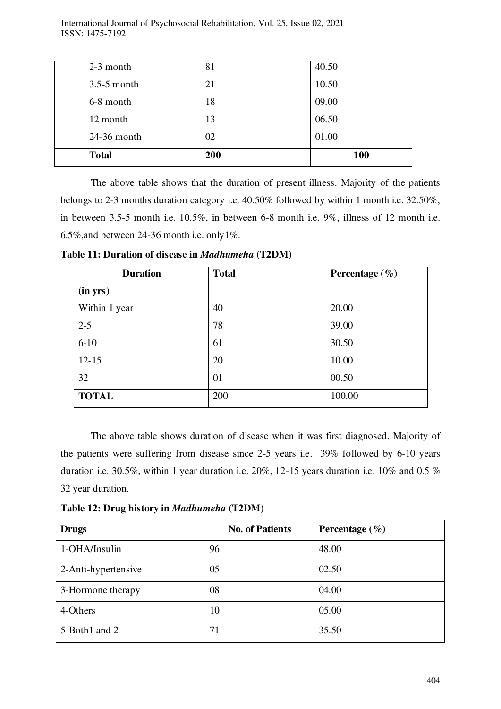| <b>Total</b>  | 200 | 100   |
|---------------|-----|-------|
| 24-36 month   | 02  | 01.00 |
| 12 month      | 13  | 06.50 |
| 6-8 month     | 18  | 09.00 |
| $3.5-5$ month | 21  | 10.50 |
| 2-3 month     | 81  | 40.50 |

The above table shows that the duration of present illness. Majority of the patients belongs to 2-3 months duration category i.e. 40.50% followed by within 1 month i.e. 32.50%, in between 3.5-5 month i.e. 10.5%, in between 6-8 month i.e. 9%, illness of 12 month i.e. 6.5%,and between 24-36 month i.e. only1%.

| <b>Duration</b> | <b>Total</b> | Percentage $(\% )$ |
|-----------------|--------------|--------------------|
| (in yrs)        |              |                    |
| Within 1 year   | 40           | 20.00              |
| $2 - 5$         | 78           | 39.00              |
| $6 - 10$        | 61           | 30.50              |
| $12 - 15$       | 20           | 10.00              |
| 32              | 01           | 00.50              |
| <b>TOTAL</b>    | 200          | 100.00             |

**Table 11: Duration of disease in** *Madhumeha* **(T2DM)** 

 The above table shows duration of disease when it was first diagnosed. Majority of the patients were suffering from disease since 2-5 years i.e. 39% followed by 6-10 years duration i.e. 30.5%, within 1 year duration i.e. 20%, 12-15 years duration i.e. 10% and 0.5 % 32 year duration.

**Table 12: Drug history in** *Madhumeha* **(T2DM)** 

| <b>Drugs</b>        | <b>No. of Patients</b> | Percentage $(\% )$ |
|---------------------|------------------------|--------------------|
| 1-OHA/Insulin       | 96                     | 48.00              |
| 2-Anti-hypertensive | 05                     | 02.50              |
| 3-Hormone therapy   | 08                     | 04.00              |
| 4-Others            | 10                     | 05.00              |
| 5-Both1 and 2       | 71                     | 35.50              |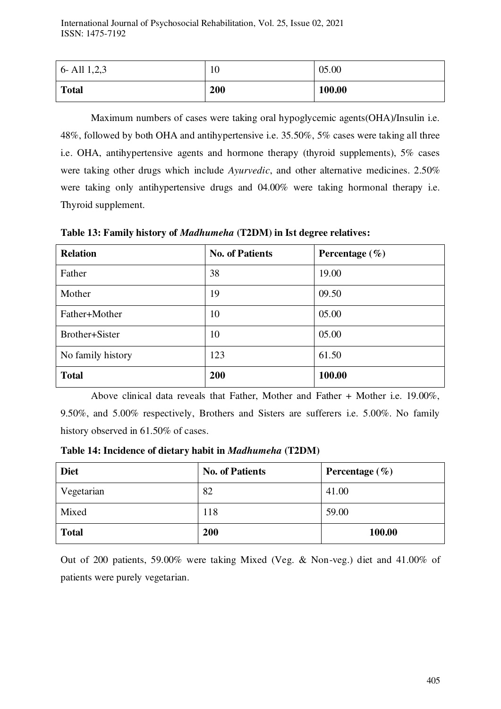| 6- All $1,2,3$ | 10  | 05.00  |
|----------------|-----|--------|
| <b>Total</b>   | 200 | 100.00 |

Maximum numbers of cases were taking oral hypoglycemic agents(OHA)/Insulin i.e. 48%, followed by both OHA and antihypertensive i.e. 35.50%, 5% cases were taking all three i.e. OHA, antihypertensive agents and hormone therapy (thyroid supplements), 5% cases were taking other drugs which include *Ayurvedic*, and other alternative medicines. 2.50% were taking only antihypertensive drugs and 04.00% were taking hormonal therapy i.e. Thyroid supplement.

**Table 13: Family history of** *Madhumeha* **(T2DM) in Ist degree relatives:**

| <b>Relation</b>   | <b>No. of Patients</b> | Percentage $(\% )$ |
|-------------------|------------------------|--------------------|
| Father            | 38                     | 19.00              |
| Mother            | 19                     | 09.50              |
| Father+Mother     | 10                     | 05.00              |
| Brother+Sister    | 10                     | 05.00              |
| No family history | 123                    | 61.50              |
| <b>Total</b>      | 200                    | 100.00             |

Above clinical data reveals that Father, Mother and Father + Mother i.e. 19.00%, 9.50%, and 5.00% respectively, Brothers and Sisters are sufferers i.e. 5.00%. No family history observed in 61.50% of cases.

**Table 14: Incidence of dietary habit in** *Madhumeha* **(T2DM)** 

| <b>Diet</b>  | <b>No. of Patients</b> | Percentage $(\% )$ |
|--------------|------------------------|--------------------|
| Vegetarian   | 82                     | 41.00              |
| Mixed        | 118                    | 59.00              |
| <b>Total</b> | 200                    | 100.00             |

Out of 200 patients, 59.00% were taking Mixed (Veg. & Non-veg.) diet and 41.00% of patients were purely vegetarian.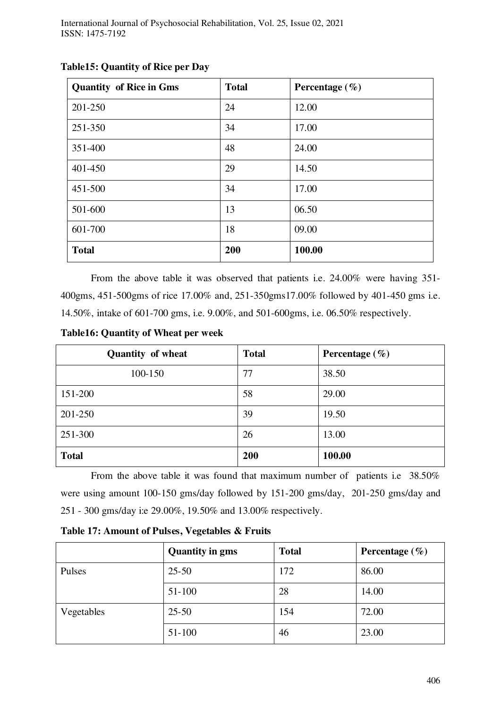| <b>Quantity of Rice in Gms</b> | <b>Total</b> | Percentage $(\% )$ |
|--------------------------------|--------------|--------------------|
| 201-250                        | 24           | 12.00              |
| 251-350                        | 34           | 17.00              |
| 351-400                        | 48           | 24.00              |
| 401-450                        | 29           | 14.50              |
| 451-500                        | 34           | 17.00              |
| 501-600                        | 13           | 06.50              |
| 601-700                        | 18           | 09.00              |
| <b>Total</b>                   | 200          | 100.00             |

#### **Table15: Quantity of Rice per Day**

From the above table it was observed that patients i.e. 24.00% were having 351- 400gms, 451-500gms of rice 17.00% and, 251-350gms17.00% followed by 401-450 gms i.e. 14.50%, intake of 601-700 gms, i.e. 9.00%, and 501-600gms, i.e. 06.50% respectively.

**Table16: Quantity of Wheat per week** 

| <b>Quantity of wheat</b> | <b>Total</b> | Percentage $(\% )$ |
|--------------------------|--------------|--------------------|
| 100-150                  | 77           | 38.50              |
| 151-200                  | 58           | 29.00              |
| 201-250                  | 39           | 19.50              |
| 251-300                  | 26           | 13.00              |
| <b>Total</b>             | 200          | 100.00             |

From the above table it was found that maximum number of patients i.e 38.50% were using amount 100-150 gms/day followed by 151-200 gms/day, 201-250 gms/day and 251 - 300 gms/day i:e 29.00%, 19.50% and 13.00% respectively.

|            | <b>Quantity in gms</b> | <b>Total</b> | Percentage $(\% )$ |
|------------|------------------------|--------------|--------------------|
| Pulses     | $25 - 50$              | 172          | 86.00              |
|            | $51 - 100$             | 28           | 14.00              |
| Vegetables | $25 - 50$              | 154          | 72.00              |
|            | 51-100                 | 46           | 23.00              |

**Table 17: Amount of Pulses, Vegetables & Fruits**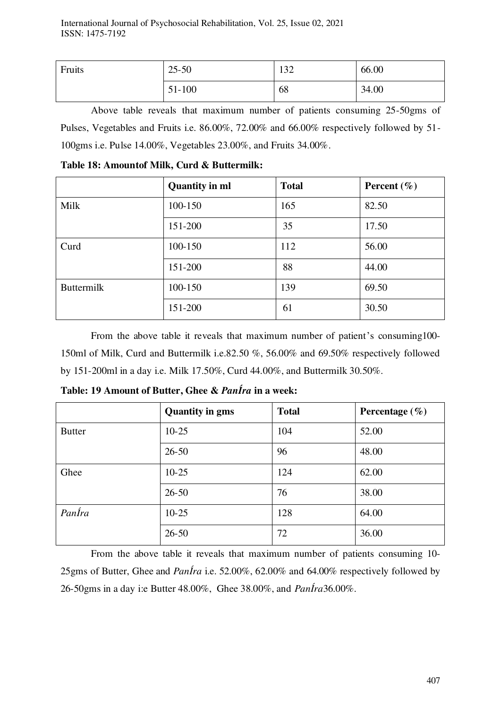| Fruits | $25 - 50$ | 132 | 66.00 |
|--------|-----------|-----|-------|
|        | 51-100    | 68  | 34.00 |

Above table reveals that maximum number of patients consuming 25-50gms of Pulses, Vegetables and Fruits i.e. 86.00%, 72.00% and 66.00% respectively followed by 51- 100gms i.e. Pulse 14.00%, Vegetables 23.00%, and Fruits 34.00%.

|                   | <b>Quantity in ml</b> | <b>Total</b> | Percent $(\% )$ |
|-------------------|-----------------------|--------------|-----------------|
| Milk              | 100-150               | 165          | 82.50           |
|                   | 151-200               | 35           | 17.50           |
| Curd              | 100-150               | 112          | 56.00           |
|                   | 151-200               | 88           | 44.00           |
| <b>Buttermilk</b> | 100-150               | 139          | 69.50           |
|                   | 151-200               | 61           | 30.50           |

**Table 18: Amountof Milk, Curd & Buttermilk:** 

 From the above table it reveals that maximum number of patient's consuming100- 150ml of Milk, Curd and Buttermilk i.e.82.50 %, 56.00% and 69.50% respectively followed by 151-200ml in a day i.e. Milk 17.50%, Curd 44.00%, and Buttermilk 30.50%.

| Table: 19 Amount of Butter, Ghee & PanÍra in a week: |  |  |
|------------------------------------------------------|--|--|
|                                                      |  |  |

|               | <b>Quantity in gms</b> | <b>Total</b> | Percentage $(\% )$ |
|---------------|------------------------|--------------|--------------------|
| <b>Butter</b> | $10 - 25$              | 104          | 52.00              |
|               | $26 - 50$              | 96           | 48.00              |
| Ghee          | $10-25$                | 124          | 62.00              |
|               | $26 - 50$              | 76           | 38.00              |
| PanÍra        | $10 - 25$              | 128          | 64.00              |
|               | $26 - 50$              | 72           | 36.00              |

From the above table it reveals that maximum number of patients consuming 10- 25gms of Butter, Ghee and *PanÍra* i.e. 52.00%, 62.00% and 64.00% respectively followed by 26-50gms in a day i:e Butter 48.00%, Ghee 38.00%, and *PanÍra*36.00%.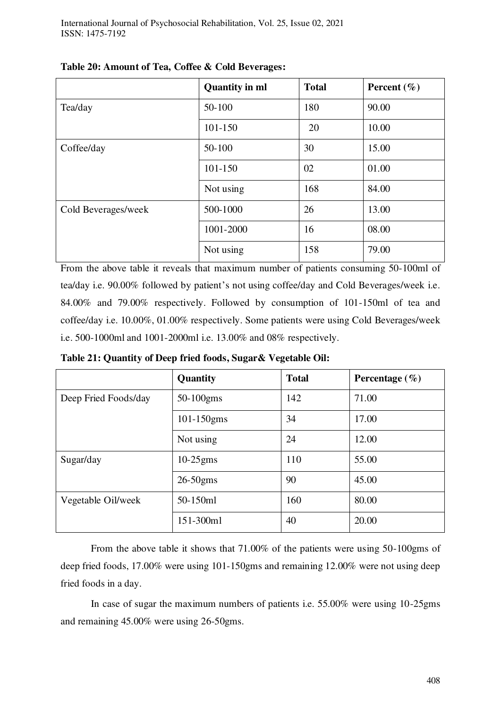|                     | <b>Quantity in ml</b> | <b>Total</b> | Percent $(\% )$ |
|---------------------|-----------------------|--------------|-----------------|
| Tea/day             | 50-100                | 180          | 90.00           |
|                     | 101-150               | 20           | 10.00           |
| Coffee/day          | 50-100                | 30           | 15.00           |
|                     | 101-150               | 02           | 01.00           |
|                     | Not using             | 168          | 84.00           |
| Cold Beverages/week | 500-1000              | 26           | 13.00           |
|                     | 1001-2000             | 16           | 08.00           |
|                     | Not using             | 158          | 79.00           |

From the above table it reveals that maximum number of patients consuming 50-100ml of tea/day i.e. 90.00% followed by patient's not using coffee/day and Cold Beverages/week i.e. 84.00% and 79.00% respectively. Followed by consumption of 101-150ml of tea and coffee/day i.e. 10.00%, 01.00% respectively. Some patients were using Cold Beverages/week i.e. 500-1000ml and 1001-2000ml i.e. 13.00% and 08% respectively.

**Table 21: Quantity of Deep fried foods, Sugar& Vegetable Oil:** 

|                      | Quantity        | <b>Total</b> | Percentage $(\% )$ |
|----------------------|-----------------|--------------|--------------------|
| Deep Fried Foods/day | 50-100gms       | 142          | 71.00              |
|                      | $101 - 150$ gms | 34           | 17.00              |
|                      | Not using       | 24           | 12.00              |
| Sugar/day            | $10-25$ gms     | 110          | 55.00              |
|                      | $26-50$ gms     | 90           | 45.00              |
| Vegetable Oil/week   | 50-150ml        | 160          | 80.00              |
|                      | 151-300ml       | 40           | 20.00              |

From the above table it shows that 71.00% of the patients were using 50-100gms of deep fried foods, 17.00% were using 101-150gms and remaining 12.00% were not using deep fried foods in a day.

In case of sugar the maximum numbers of patients i.e. 55.00% were using 10-25gms and remaining 45.00% were using 26-50gms.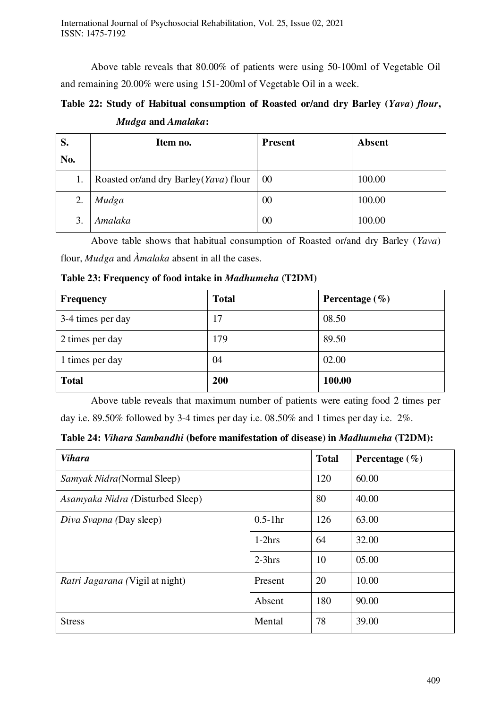Above table reveals that 80.00% of patients were using 50-100ml of Vegetable Oil and remaining 20.00% were using 151-200ml of Vegetable Oil in a week.

# **Table 22: Study of Habitual consumption of Roasted or/and dry Barley (***Yava***)** *flour***,**  *Mudga* **and** *Amalaka***:**

| S.  | Item no.                              | <b>Present</b> | <b>Absent</b> |
|-----|---------------------------------------|----------------|---------------|
| No. |                                       |                |               |
| 1.  | Roasted or/and dry Barley(Yava) flour | 00             | 100.00        |
| 2.  | Mudga                                 | 00             | 100.00        |
| 3.  | Amalaka                               | 00             | 100.00        |

 Above table shows that habitual consumption of Roasted or/and dry Barley (*Yava*) flour, *Mudga* and *Àmalaka* absent in all the cases.

| <b>Frequency</b>  | <b>Total</b> | Percentage $(\% )$ |
|-------------------|--------------|--------------------|
| 3-4 times per day | 17           | 08.50              |
| 2 times per day   | 179          | 89.50              |
| 1 times per day   | 04           | 02.00              |
| <b>Total</b>      | 200          | 100.00             |

**Table 23: Frequency of food intake in** *Madhumeha* **(T2DM)**

Above table reveals that maximum number of patients were eating food 2 times per day i.e. 89.50% followed by 3-4 times per day i.e. 08.50% and 1 times per day i.e. 2%.

**Table 24:** *Vihara Sambandhi* **(before manifestation of disease) in** *Madhumeha* **(T2DM):** 

| <b>Vihara</b>                    |           | <b>Total</b> | Percentage $(\% )$ |
|----------------------------------|-----------|--------------|--------------------|
| Samyak Nidra(Normal Sleep)       |           | 120          | 60.00              |
| Asamyaka Nidra (Disturbed Sleep) |           | 80           | 40.00              |
| Diva Svapna (Day sleep)          | $0.5-1hr$ | 126          | 63.00              |
|                                  | $1-2hrs$  | 64           | 32.00              |
|                                  | $2-3hrs$  | 10           | 05.00              |
| Ratri Jagarana (Vigil at night)  | Present   | 20           | 10.00              |
|                                  | Absent    | 180          | 90.00              |
| <b>Stress</b>                    | Mental    | 78           | 39.00              |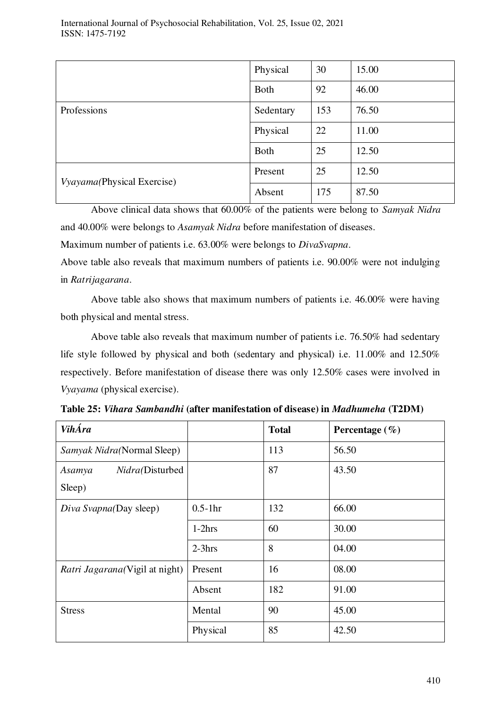|                            | Physical    | 30  | 15.00 |
|----------------------------|-------------|-----|-------|
|                            | <b>Both</b> | 92  | 46.00 |
| Professions                | Sedentary   | 153 | 76.50 |
|                            | Physical    | 22  | 11.00 |
|                            | <b>Both</b> | 25  | 12.50 |
| Vyayama(Physical Exercise) | Present     | 25  | 12.50 |
|                            | Absent      | 175 | 87.50 |

 Above clinical data shows that 60.00% of the patients were belong to *Samyak Nidra* and 40.00% were belongs to *Asamyak Nidra* before manifestation of diseases.

Maximum number of patients i.e. 63.00% were belongs to *DivaSvapna*.

Above table also reveals that maximum numbers of patients i.e. 90.00% were not indulging in *Ratrijagarana*.

Above table also shows that maximum numbers of patients i.e. 46.00% were having both physical and mental stress.

Above table also reveals that maximum number of patients i.e. 76.50% had sedentary life style followed by physical and both (sedentary and physical) i.e. 11.00% and 12.50% respectively. Before manifestation of disease there was only 12.50% cases were involved in *Vyayama* (physical exercise).

| <b>VihÁra</b>                          |           | <b>Total</b> | Percentage $(\% )$ |
|----------------------------------------|-----------|--------------|--------------------|
| Samyak Nidra(Normal Sleep)             |           | 113          | 56.50              |
| Nidra(Disturbed<br>Asamya              |           | 87           | 43.50              |
| Sleep)                                 |           |              |                    |
| Diva Svapna(Day sleep)                 | $0.5-1hr$ | 132          | 66.00              |
|                                        | $1-2hrs$  | 60           | 30.00              |
|                                        | $2-3hrs$  | 8            | 04.00              |
| <i>Ratri Jagarana</i> (Vigil at night) | Present   | 16           | 08.00              |
|                                        | Absent    | 182          | 91.00              |
| <b>Stress</b>                          | Mental    | 90           | 45.00              |
|                                        | Physical  | 85           | 42.50              |

**Table 25:** *Vihara Sambandhi* **(after manifestation of disease) in** *Madhumeha* **(T2DM)**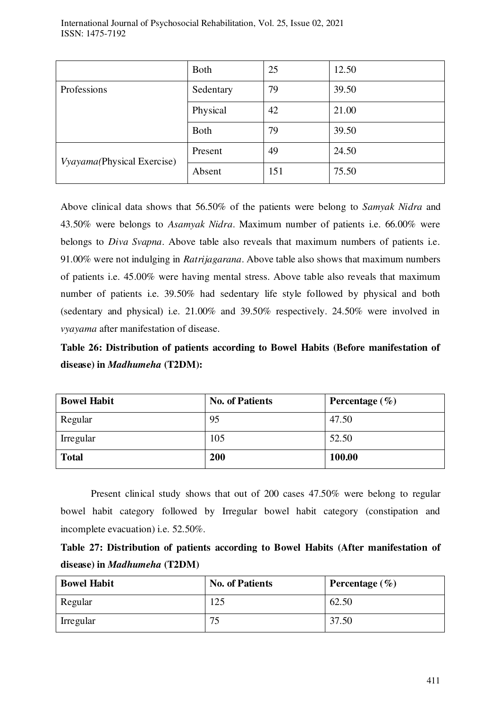| International Journal of Psychosocial Rehabilitation, Vol. 25, Issue 02, 2021 |  |  |  |
|-------------------------------------------------------------------------------|--|--|--|
| ISSN: 1475-7192                                                               |  |  |  |

|                            | <b>Both</b> | 25  | 12.50 |
|----------------------------|-------------|-----|-------|
| Professions                | Sedentary   | 79  | 39.50 |
|                            | Physical    | 42  | 21.00 |
|                            | <b>Both</b> | 79  | 39.50 |
| Vyayama(Physical Exercise) | Present     | 49  | 24.50 |
|                            | Absent      | 151 | 75.50 |

Above clinical data shows that 56.50% of the patients were belong to *Samyak Nidra* and 43.50% were belongs to *Asamyak Nidra*. Maximum number of patients i.e. 66.00% were belongs to *Diva Svapna*. Above table also reveals that maximum numbers of patients i.e. 91.00% were not indulging in *Ratrijagarana*. Above table also shows that maximum numbers of patients i.e. 45.00% were having mental stress. Above table also reveals that maximum number of patients i.e. 39.50% had sedentary life style followed by physical and both (sedentary and physical) i.e. 21.00% and 39.50% respectively. 24.50% were involved in *vyayama* after manifestation of disease.

**Table 26: Distribution of patients according to Bowel Habits (Before manifestation of disease) in** *Madhumeha* **(T2DM):** 

| <b>Bowel Habit</b> | <b>No. of Patients</b> | Percentage $(\% )$ |
|--------------------|------------------------|--------------------|
| Regular            | 95                     | 47.50              |
| Irregular          | 105                    | 52.50              |
| <b>Total</b>       | 200                    | 100.00             |

Present clinical study shows that out of 200 cases 47.50% were belong to regular bowel habit category followed by Irregular bowel habit category (constipation and incomplete evacuation) i.e. 52.50%.

| Table 27: Distribution of patients according to Bowel Habits (After manifestation of |  |  |  |  |
|--------------------------------------------------------------------------------------|--|--|--|--|
| disease) in <i>Madhumeha</i> (T2DM)                                                  |  |  |  |  |

| <b>Bowel Habit</b> | <b>No. of Patients</b> | Percentage $(\% )$ |
|--------------------|------------------------|--------------------|
| Regular            | 125                    | 62.50              |
| Irregular          | 75                     | 37.50              |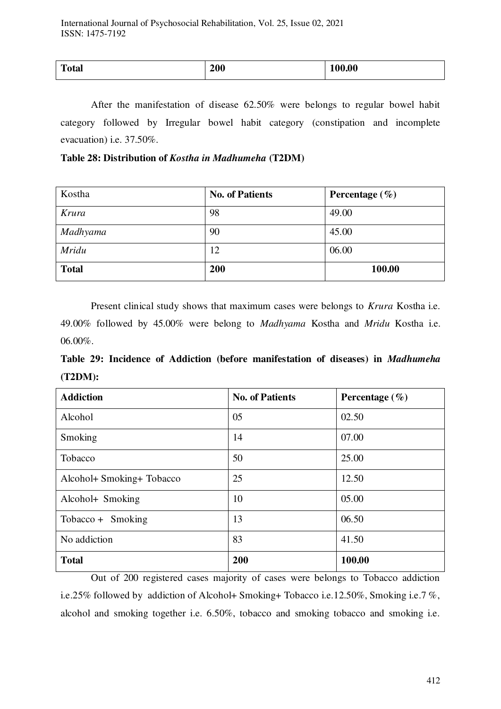| $T_{\alpha}$<br>Total | $\boldsymbol{\omega}$ vv | 0.00<br>------ |
|-----------------------|--------------------------|----------------|
|                       |                          |                |

After the manifestation of disease 62.50% were belongs to regular bowel habit category followed by Irregular bowel habit category (constipation and incomplete evacuation) i.e. 37.50%.

**Table 28: Distribution of** *Kostha in Madhumeha* **(T2DM)** 

| Kostha       | <b>No. of Patients</b> | Percentage $(\% )$ |
|--------------|------------------------|--------------------|
| Krura        | 98                     | 49.00              |
| Madhyama     | 90                     | 45.00              |
| <b>Mridu</b> | 12                     | 06.00              |
| <b>Total</b> | 200                    | 100.00             |

Present clinical study shows that maximum cases were belongs to *Krura* Kostha i.e. 49.00% followed by 45.00% were belong to *Madhyama* Kostha and *Mridu* Kostha i.e. 06.00%.

**Table 29: Incidence of Addiction (before manifestation of diseases) in** *Madhumeha*  **(T2DM):** 

| <b>Addiction</b>          | <b>No. of Patients</b> | Percentage $(\% )$ |
|---------------------------|------------------------|--------------------|
| Alcohol                   | 05                     | 02.50              |
| Smoking                   | 14                     | 07.00              |
| Tobacco                   | 50                     | 25.00              |
| Alcohol+ Smoking+ Tobacco | 25                     | 12.50              |
| Alcohol+ Smoking          | 10                     | 05.00              |
| $Tobacco + Smoking$       | 13                     | 06.50              |
| No addiction              | 83                     | 41.50              |
| <b>Total</b>              | 200                    | 100.00             |

 Out of 200 registered cases majority of cases were belongs to Tobacco addiction i.e.25% followed by addiction of Alcohol+ Smoking+ Tobacco i.e.12.50%, Smoking i.e.7 %, alcohol and smoking together i.e. 6.50%, tobacco and smoking tobacco and smoking i.e.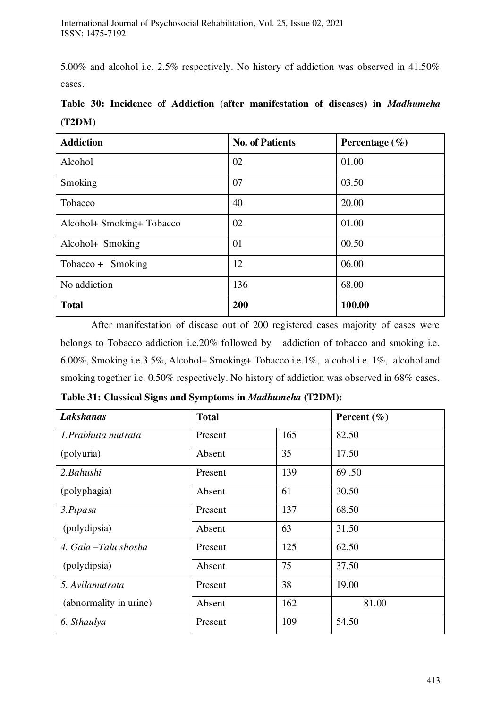5.00% and alcohol i.e. 2.5% respectively. No history of addiction was observed in 41.50% cases.

| <b>Addiction</b>          | <b>No. of Patients</b> | Percentage $(\% )$ |
|---------------------------|------------------------|--------------------|
| Alcohol                   | 02                     | 01.00              |
| Smoking                   | 07                     | 03.50              |
| Tobacco                   | 40                     | 20.00              |
| Alcohol+ Smoking+ Tobacco | 02                     | 01.00              |
| Alcohol+ Smoking          | 01                     | 00.50              |
| $Tobacco + Smoking$       | 12                     | 06.00              |
| No addiction              | 136                    | 68.00              |
| <b>Total</b>              | 200                    | 100.00             |

**Table 30: Incidence of Addiction (after manifestation of diseases) in** *Madhumeha*  **(T2DM)** 

 After manifestation of disease out of 200 registered cases majority of cases were belongs to Tobacco addiction i.e.20% followed by addiction of tobacco and smoking i.e. 6.00%, Smoking i.e.3.5%, Alcohol+ Smoking+ Tobacco i.e.1%, alcohol i.e. 1%, alcohol and smoking together i.e. 0.50% respectively. No history of addiction was observed in 68% cases.

| Lakshanas              | <b>Total</b> |     | Percent $(\% )$ |
|------------------------|--------------|-----|-----------------|
| 1.Prabhuta mutrata     | Present      | 165 | 82.50           |
| (polyuria)             | Absent       | 35  | 17.50           |
| 2.Bahushi              | Present      | 139 | 69.50           |
| (polyphagia)           | Absent       | 61  | 30.50           |
| 3.Pipasa               | Present      | 137 | 68.50           |
| (polydipsia)           | Absent       | 63  | 31.50           |
| 4. Gala -Talu shosha   | Present      | 125 | 62.50           |
| (polydipsia)           | Absent       | 75  | 37.50           |
| 5. Avilamutrata        | Present      | 38  | 19.00           |
| (abnormality in urine) | Absent       | 162 | 81.00           |
| 6. Sthaulya            | Present      | 109 | 54.50           |

**Table 31: Classical Signs and Symptoms in** *Madhumeha* **(T2DM):**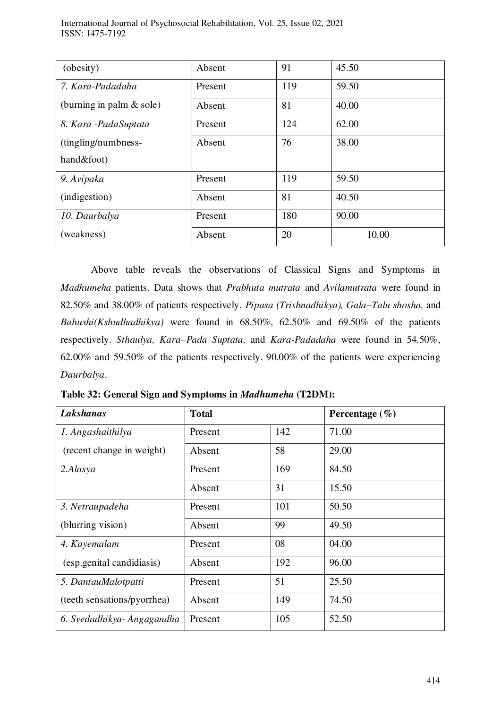| (obesity)                  | Absent  | 91  | 45.50 |
|----------------------------|---------|-----|-------|
| 7. Kara-Padadaha           | Present | 119 | 59.50 |
| (burning in palm $&$ sole) | Absent  | 81  | 40.00 |
| 8. Kara - Pada Suptata     | Present | 124 | 62.00 |
| (tingling/numbness-        | Absent  | 76  | 38.00 |
| hand&foot)                 |         |     |       |
| 9. Avipaka                 | Present | 119 | 59.50 |
| (indigestion)              | Absent  | 81  | 40.50 |
| 10. Daurbalya              | Present | 180 | 90.00 |
| (weakness)                 | Absent  | 20  | 10.00 |

 Above table reveals the observations of Classical Signs and Symptoms in *Madhumeha* patients. Data shows that *Prabhuta mutrata* and *Avilamutrata* were found in 82.50% and 38.00% of patients respectively. *Pipasa (Trishnadhikya), Gala–Talu shosha,* and *Bahushi(Kshudhadhikya)* were found in 68.50%, 62.50% and 69.50% of the patients respectively. *Sthaulya, Kara–Pada Suptata,* and *Kara-Padadaha* were found in 54.50%, 62.00% and 59.50% of the patients respectively. 90.00% of the patients were experiencing *Daurbalya*.

| Table 32: General Sign and Symptoms in Madhumeha (T2DM): |  |  |  |
|----------------------------------------------------------|--|--|--|
|----------------------------------------------------------|--|--|--|

| Lakshanas                   | <b>Total</b> |     | Percentage $(\% )$ |
|-----------------------------|--------------|-----|--------------------|
| 1. Angashaithilya           | Present      | 142 | 71.00              |
| (recent change in weight)   | Absent       | 58  | 29.00              |
| 2.Alasya                    | Present      | 169 | 84.50              |
|                             | Absent       | 31  | 15.50              |
| 3. Netraupadeha             | Present      | 101 | 50.50              |
| (blurring vision)           | Absent       | 99  | 49.50              |
| 4. Kayemalam                | Present      | 08  | 04.00              |
| (esp.genital candidiasis)   | Absent       | 192 | 96.00              |
| 5. DantauMalotpatti         | Present      | 51  | 25.50              |
| (teeth sensations/pyorrhea) | Absent       | 149 | 74.50              |
| 6. Svedadhikya-Angagandha   | Present      | 105 | 52.50              |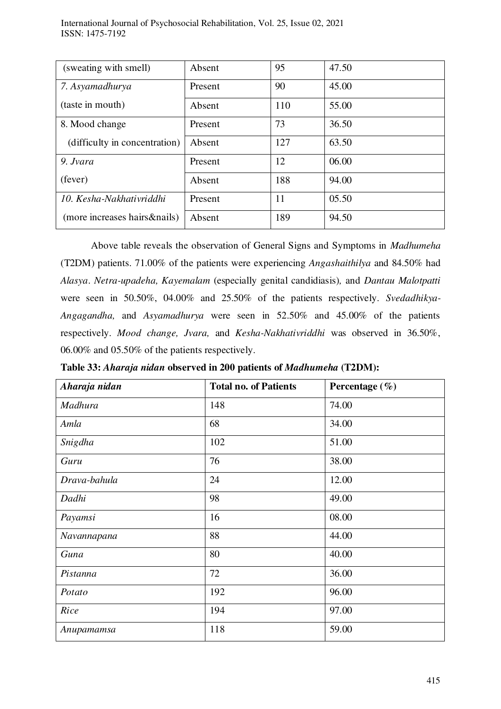| (sweating with smell)         | Absent  | 95  | 47.50 |
|-------------------------------|---------|-----|-------|
| 7. Asyamadhurya               | Present | 90  | 45.00 |
| (taste in mouth)              | Absent  | 110 | 55.00 |
| 8. Mood change                | Present | 73  | 36.50 |
| (difficulty in concentration) | Absent  | 127 | 63.50 |
| 9. Jvara                      | Present | 12  | 06.00 |
| (fever)                       | Absent  | 188 | 94.00 |
| 10. Kesha-Nakhativriddhi      | Present | 11  | 05.50 |
| (more increases hairs&nails)  | Absent  | 189 | 94.50 |

 Above table reveals the observation of General Signs and Symptoms in *Madhumeha* (T2DM) patients. 71.00% of the patients were experiencing *Angashaithilya* and 84.50% had *Alasya*. *Netra-upadeha, Kayemalam* (especially genital candidiasis)*,* and *Dantau Malotpatti*  were seen in 50.50%, 04.00% and 25.50% of the patients respectively. *Svedadhikya-Angagandha,* and *Asyamadhurya* were seen in 52.50% and 45.00% of the patients respectively. *Mood change, Jvara,* and *Kesha-Nakhativriddhi* was observed in 36.50%, 06.00% and 05.50% of the patients respectively.

| Aharaja nidan | <b>Total no. of Patients</b> | Percentage $(\% )$ |
|---------------|------------------------------|--------------------|
| Madhura       | 148                          | 74.00              |
| Amla          | 68                           | 34.00              |
| Snigdha       | 102                          | 51.00              |
| Guru          | 76                           | 38.00              |
| Drava-bahula  | 24                           | 12.00              |
| Dadhi         | 98                           | 49.00              |
| Payamsi       | 16                           | 08.00              |
| Navannapana   | 88                           | 44.00              |
| Guna          | 80                           | 40.00              |
| Pistanna      | 72                           | 36.00              |
| Potato        | 192                          | 96.00              |
| Rice          | 194                          | 97.00              |
| Anupamamsa    | 118                          | 59.00              |

**Table 33:** *Aharaja nidan* **observed in 200 patients of** *Madhumeha* **(T2DM):**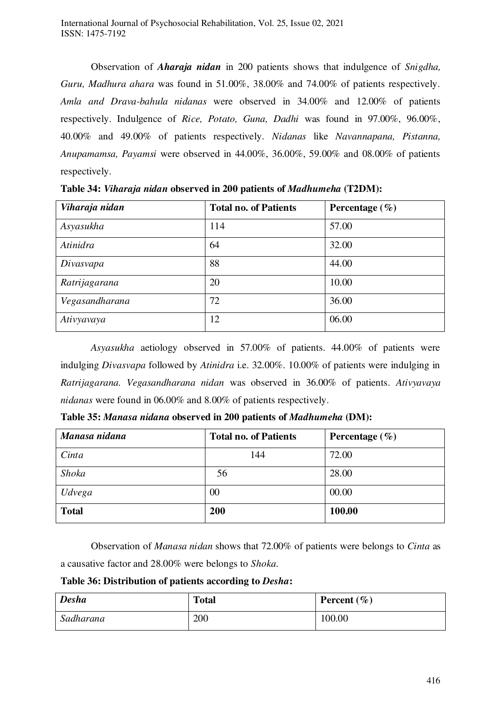Observation of *Aharaja nidan* in 200 patients shows that indulgence of *Snigdha, Guru, Madhura ahara* was found in 51.00%, 38.00% and 74.00% of patients respectively. *Amla and Drava-bahula nidanas* were observed in 34.00% and 12.00% of patients respectively. Indulgence of *Rice, Potato, Guna, Dadhi* was found in 97.00%, 96.00%, 40.00% and 49.00% of patients respectively. *Nidanas* like *Navannapana, Pistanna, Anupamamsa, Payamsi* were observed in 44.00%, 36.00%, 59.00% and 08.00% of patients respectively.

| Viharaja nidan | <b>Total no. of Patients</b> | Percentage $(\% )$ |
|----------------|------------------------------|--------------------|
| Asyasukha      | 114                          | 57.00              |
| Atinidra       | 64                           | 32.00              |
| Divasvapa      | 88                           | 44.00              |
| Ratrijagarana  | 20                           | 10.00              |
| Vegasandharana | 72                           | 36.00              |
| Ativyavaya     | 12                           | 06.00              |

**Table 34:** *Viharaja nidan* **observed in 200 patients of** *Madhumeha* **(T2DM):** 

*Asyasukha* aetiology observed in 57.00% of patients. 44.00% of patients were indulging *Divasvapa* followed by *Atinidra* i.e. 32.00%. 10.00% of patients were indulging in *Ratrijagarana. Vegasandharana nidan* was observed in 36.00% of patients. *Ativyavaya nidanas* were found in 06.00% and 8.00% of patients respectively.

| Table 35: Manasa nidana observed in 200 patients of Madhumeha (DM): |  |  |
|---------------------------------------------------------------------|--|--|
|---------------------------------------------------------------------|--|--|

| Manasa nidana | <b>Total no. of Patients</b> | Percentage $(\% )$ |
|---------------|------------------------------|--------------------|
| Cinta         | 144                          | 72.00              |
| Shoka         | 56                           | 28.00              |
| Udvega        | 00                           | 00.00              |
| <b>Total</b>  | 200                          | 100.00             |

 Observation of *Manasa nidan* shows that 72.00% of patients were belongs to *Cinta* as a causative factor and 28.00% were belongs to *Shoka.* 

#### **Table 36: Distribution of patients according to** *Desha***:**

| <b>Desha</b> | <b>Total</b> | Percent $(\% )$ |
|--------------|--------------|-----------------|
| Sadharana    | 200          | 100.00          |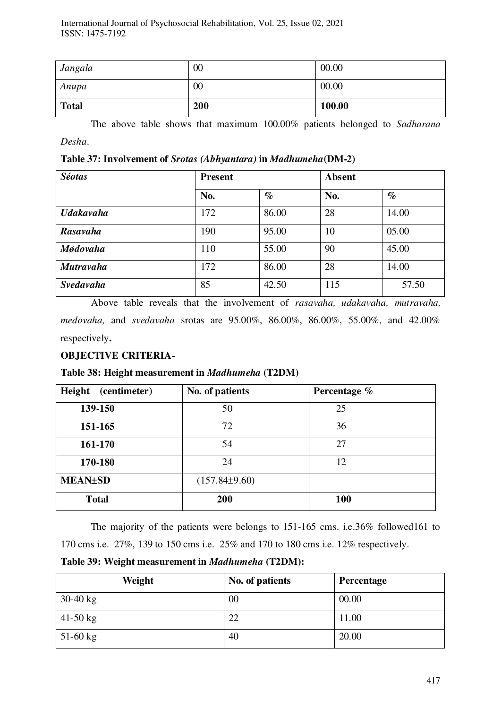| Jangala      | 00  | 00.00  |
|--------------|-----|--------|
| Anupa        | 00  | 00.00  |
| <b>Total</b> | 200 | 100.00 |

The above table shows that maximum 100.00% patients belonged to *Sadharana Desha*.

**Table 37: Involvement of** *Srotas (Abhyantara)* **in** *Madhumeha***(DM-2)**

| <b>Séotas</b>    | <b>Present</b> |       | <b>Absent</b> |       |
|------------------|----------------|-------|---------------|-------|
|                  | No.            | $\%$  | No.           | $\%$  |
| <b>Udakavaha</b> | 172            | 86.00 | 28            | 14.00 |
| Rasavaha         | 190            | 95.00 | 10            | 05.00 |
| <b>Mødovaha</b>  | 110            | 55.00 | 90            | 45.00 |
| <b>Mutravaha</b> | 172            | 86.00 | 28            | 14.00 |
| <b>Svedavaha</b> | 85             | 42.50 | 115           | 57.50 |

Above table reveals that the involvement of *rasavaha, udakavaha, mutravaha, medovaha,* and *svedavaha* srotas are 95.00%, 86.00%, 86.00%, 55.00%, and 42.00% respectively**.** 

# **OBJECTIVE CRITERIA-**

# **Table 38: Height measurement in** *Madhumeha* **(T2DM)**

| Height<br>(centimeter) | No. of patients   | Percentage % |
|------------------------|-------------------|--------------|
| 139-150                | 50                | 25           |
| 151-165                | 72                | 36           |
| 161-170                | 54                | 27           |
| 170-180                | 24                | 12           |
| <b>MEAN±SD</b>         | $(157.84\pm9.60)$ |              |
| <b>Total</b>           | 200               | 100          |

The majority of the patients were belongs to 151-165 cms. i.e.36% followed161 to 170 cms i.e. 27%, 139 to 150 cms i.e. 25% and 170 to 180 cms i.e. 12% respectively.

**Table 39: Weight measurement in** *Madhumeha* **(T2DM):** 

| Weight     | No. of patients | Percentage |
|------------|-----------------|------------|
| $30-40$ kg | 00              | 00.00      |
| $41-50$ kg | 22              | 11.00      |
| $51-60$ kg | 40              | 20.00      |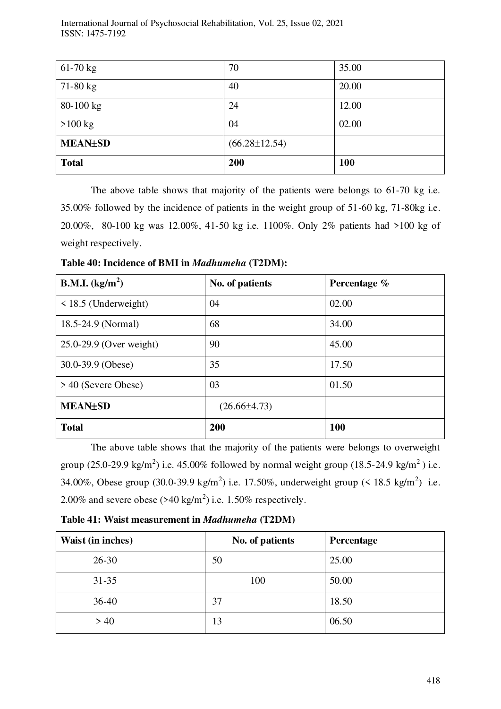| $61-70$ kg     | 70                  | 35.00      |
|----------------|---------------------|------------|
| $71-80$ kg     | 40                  | 20.00      |
| $80 - 100$ kg  | 24                  | 12.00      |
| $>100$ kg      | 04                  | 02.00      |
| <b>MEAN±SD</b> | $(66.28 \pm 12.54)$ |            |
| <b>Total</b>   | 200                 | <b>100</b> |

The above table shows that majority of the patients were belongs to 61-70 kg i.e. 35.00% followed by the incidence of patients in the weight group of 51-60 kg, 71-80kg i.e. 20.00%, 80-100 kg was 12.00%, 41-50 kg i.e. 1100%. Only 2% patients had >100 kg of weight respectively.

**Table 40: Incidence of BMI in** *Madhumeha* **(T2DM):** 

| <b>B.M.I.</b> (kg/m <sup>2</sup> ) | No. of patients  | Percentage % |
|------------------------------------|------------------|--------------|
| $\le$ 18.5 (Underweight)           | 04               | 02.00        |
| 18.5-24.9 (Normal)                 | 68               | 34.00        |
| 25.0-29.9 (Over weight)            | 90               | 45.00        |
| 30.0-39.9 (Obese)                  | 35               | 17.50        |
| > 40 (Severe Obese)                | 03               | 01.50        |
| <b>MEAN±SD</b>                     | $(26.66\pm4.73)$ |              |
| <b>Total</b>                       | 200              | 100          |

 The above table shows that the majority of the patients were belongs to overweight group (25.0-29.9 kg/m<sup>2</sup>) i.e. 45.00% followed by normal weight group (18.5-24.9 kg/m<sup>2</sup>) i.e. 34.00%, Obese group (30.0-39.9 kg/m<sup>2</sup>) i.e. 17.50%, underweight group (< 18.5 kg/m<sup>2</sup>) i.e. 2.00% and severe obese  $(>40 \text{ kg/m}^2)$  i.e. 1.50% respectively.

**Table 41: Waist measurement in** *Madhumeha* **(T2DM)**

| Waist (in inches) | No. of patients | Percentage |
|-------------------|-----------------|------------|
| $26 - 30$         | 50              | 25.00      |
| $31 - 35$         | 100             | 50.00      |
| $36-40$           | 37              | 18.50      |
| >40               | 13              | 06.50      |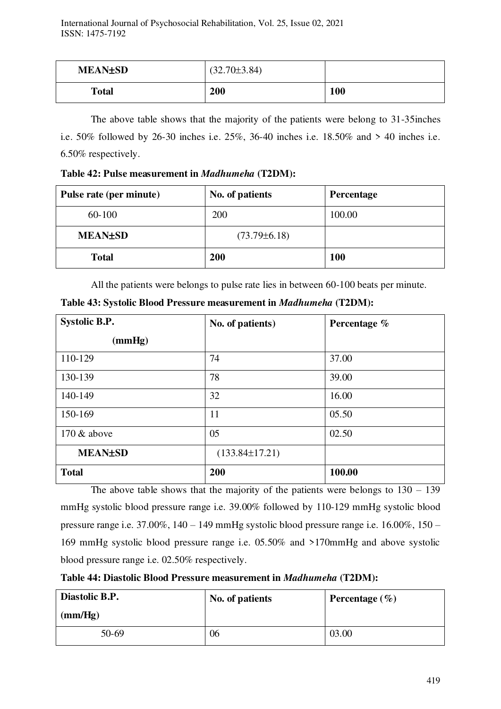| <b>MEAN±SD</b> | $(32.70\pm3.84)$ |            |
|----------------|------------------|------------|
| <b>Total</b>   | 200              | <b>100</b> |

The above table shows that the majority of the patients were belong to 31-35inches i.e. 50% followed by 26-30 inches i.e. 25%, 36-40 inches i.e. 18.50% and > 40 inches i.e. 6.50% respectively.

**Table 42: Pulse measurement in** *Madhumeha* **(T2DM):**

| Pulse rate (per minute) | No. of patients    | Percentage |
|-------------------------|--------------------|------------|
| 60-100                  | 200                | 100.00     |
| <b>MEAN±SD</b>          | $(73.79 \pm 6.18)$ |            |
| <b>Total</b>            | <b>200</b>         | <b>100</b> |

All the patients were belongs to pulse rate lies in between 60-100 beats per minute.

| <b>Systolic B.P.</b> | No. of patients)     | Percentage % |  |
|----------------------|----------------------|--------------|--|
| (mmHg)               |                      |              |  |
| 110-129              | 74                   | 37.00        |  |
| 130-139              | 78                   | 39.00        |  |
| 140-149              | 32                   | 16.00        |  |
| 150-169              | 11                   | 05.50        |  |
| $170 \&$ above       | 05                   | 02.50        |  |
| <b>MEAN±SD</b>       | $(133.84 \pm 17.21)$ |              |  |
| <b>Total</b>         | 200                  | 100.00       |  |

**Table 43: Systolic Blood Pressure measurement in** *Madhumeha* **(T2DM):** 

The above table shows that the majority of the patients were belongs to  $130 - 139$ mmHg systolic blood pressure range i.e. 39.00% followed by 110-129 mmHg systolic blood pressure range i.e. 37.00%, 140 – 149 mmHg systolic blood pressure range i.e. 16.00%, 150 – 169 mmHg systolic blood pressure range i.e. 05.50% and >170mmHg and above systolic blood pressure range i.e. 02.50% respectively.

**Table 44: Diastolic Blood Pressure measurement in** *Madhumeha* **(T2DM):** 

| Diastolic B.P. | No. of patients | Percentage $(\% )$ |
|----------------|-----------------|--------------------|
| (mm/Hg)        |                 |                    |
| 50-69          | 06              | 03.00              |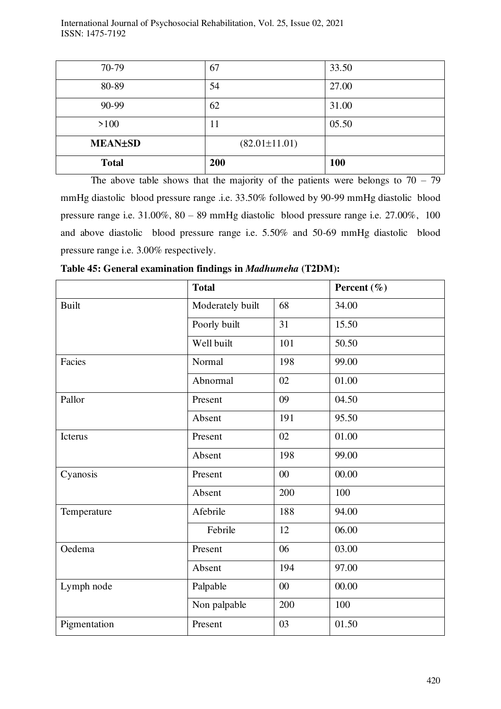| <b>Total</b>   | 200                 | 100   |
|----------------|---------------------|-------|
| <b>MEAN±SD</b> | $(82.01 \pm 11.01)$ |       |
| $>100$         | 11                  | 05.50 |
| 90-99          | 62                  | 31.00 |
| 80-89          | 54                  | 27.00 |
| 70-79          | 67                  | 33.50 |

The above table shows that the majority of the patients were belongs to  $70 - 79$ mmHg diastolic blood pressure range .i.e. 33.50% followed by 90-99 mmHg diastolic blood pressure range i.e. 31.00%, 80 – 89 mmHg diastolic blood pressure range i.e. 27.00%, 100 and above diastolic blood pressure range i.e. 5.50% and 50-69 mmHg diastolic blood pressure range i.e. 3.00% respectively.

|              | <b>Total</b>     |        | Percent $(\% )$ |
|--------------|------------------|--------|-----------------|
| <b>Built</b> | Moderately built | 68     | 34.00           |
|              | Poorly built     | 31     | 15.50           |
|              | Well built       | 101    | 50.50           |
| Facies       | Normal           | 198    | 99.00           |
|              | Abnormal         | 02     | 01.00           |
| Pallor       | Present          | 09     | 04.50           |
|              | Absent           | 191    | 95.50           |
| Icterus      | Present          | 02     | 01.00           |
|              | Absent           | 198    | 99.00           |
| Cyanosis     | Present          | 00     | 00.00           |
|              | Absent           | 200    | 100             |
| Temperature  | Afebrile         | 188    | 94.00           |
|              | Febrile          | 12     | 06.00           |
| Oedema       | Present          | 06     | 03.00           |
|              | Absent           | 194    | 97.00           |
| Lymph node   | Palpable         | $00\,$ | 00.00           |
|              | Non palpable     | 200    | 100             |
| Pigmentation | Present          | 03     | 01.50           |

**Table 45: General examination findings in** *Madhumeha* **(T2DM):**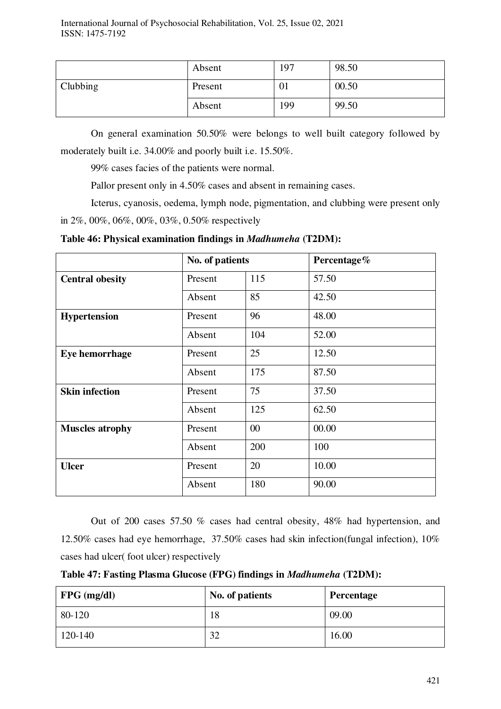|          | Absent  | 197 | 98.50 |
|----------|---------|-----|-------|
| Clubbing | Present | UI  | 00.50 |
|          | Absent  | 199 | 99.50 |

On general examination 50.50% were belongs to well built category followed by moderately built i.e. 34.00% and poorly built i.e. 15.50%.

99% cases facies of the patients were normal.

Pallor present only in 4.50% cases and absent in remaining cases.

Icterus, cyanosis, oedema, lymph node, pigmentation, and clubbing were present only in 2%, 00%, 06%, 00%, 03%, 0.50% respectively

**Table 46: Physical examination findings in** *Madhumeha* **(T2DM):** 

|                        | No. of patients |        | Percentage% |
|------------------------|-----------------|--------|-------------|
| <b>Central obesity</b> | Present         | 115    | 57.50       |
|                        | Absent          | 85     | 42.50       |
| <b>Hypertension</b>    | Present         | 96     | 48.00       |
|                        | Absent          | 104    | 52.00       |
| Eye hemorrhage         | Present         | 25     | 12.50       |
|                        | Absent          | 175    | 87.50       |
| <b>Skin infection</b>  | Present         | 75     | 37.50       |
|                        | Absent          | 125    | 62.50       |
| <b>Muscles atrophy</b> | Present         | $00\,$ | 00.00       |
|                        | Absent          | 200    | 100         |
| <b>Ulcer</b>           | Present         | 20     | 10.00       |
|                        | Absent          | 180    | 90.00       |

Out of 200 cases 57.50 % cases had central obesity, 48% had hypertension, and 12.50% cases had eye hemorrhage, 37.50% cases had skin infection(fungal infection), 10% cases had ulcer( foot ulcer) respectively

**Table 47: Fasting Plasma Glucose (FPG) findings in** *Madhumeha* **(T2DM):** 

| $\vert$ FPG (mg/dl) | No. of patients | Percentage |
|---------------------|-----------------|------------|
| $80-120$            | 18              | 09.00      |
| $120-140$           | 32              | 16.00      |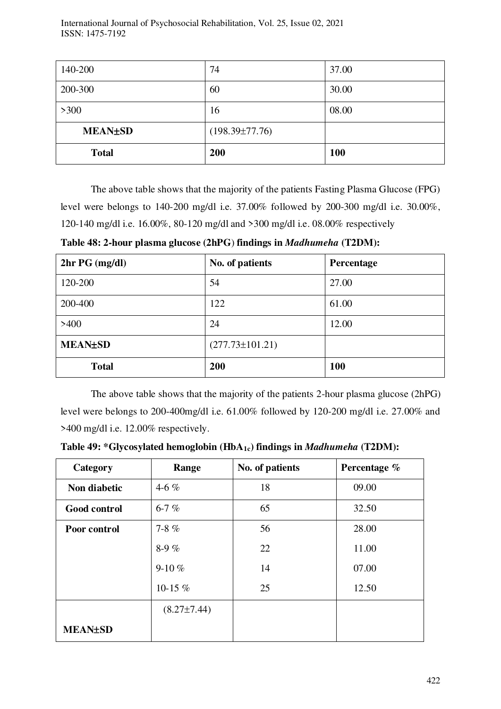| 140-200        | 74                   | 37.00      |
|----------------|----------------------|------------|
| 200-300        | 60                   | 30.00      |
| $>300$         | 16                   | 08.00      |
| <b>MEAN±SD</b> | $(198.39 \pm 77.76)$ |            |
| <b>Total</b>   | 200                  | <b>100</b> |

The above table shows that the majority of the patients Fasting Plasma Glucose (FPG) level were belongs to 140-200 mg/dl i.e. 37.00% followed by 200-300 mg/dl i.e. 30.00%, 120-140 mg/dl i.e. 16.00%, 80-120 mg/dl and >300 mg/dl i.e. 08.00% respectively

**Table 48: 2-hour plasma glucose (2hPG**) **findings in** *Madhumeha* **(T2DM):** 

| $2hrPG$ (mg/dl) | No. of patients       | Percentage |
|-----------------|-----------------------|------------|
| 120-200         | 54                    | 27.00      |
| 200-400         | 122                   | 61.00      |
| >400            | 24                    | 12.00      |
| <b>MEAN±SD</b>  | $(277.73 \pm 101.21)$ |            |
| <b>Total</b>    | 200                   | <b>100</b> |

The above table shows that the majority of the patients 2-hour plasma glucose (2hPG) level were belongs to 200-400mg/dl i.e. 61.00% followed by 120-200 mg/dl i.e. 27.00% and >400 mg/dl i.e. 12.00% respectively.

**Table 49: \*Glycosylated hemoglobin (HbA1c) findings in** *Madhumeha* **(T2DM):** 

| Category            | Range             | No. of patients | Percentage % |
|---------------------|-------------------|-----------------|--------------|
| Non diabetic        | 4-6 $%$           | 18              | 09.00        |
| <b>Good control</b> | $6 - 7\%$         | 65              | 32.50        |
| Poor control        | 7-8 $%$           | 56              | 28.00        |
|                     | 8-9 $%$           | 22              | 11.00        |
|                     | 9-10 $%$          | 14              | 07.00        |
|                     | 10-15 $%$         | 25              | 12.50        |
|                     | $(8.27 \pm 7.44)$ |                 |              |
| <b>MEAN±SD</b>      |                   |                 |              |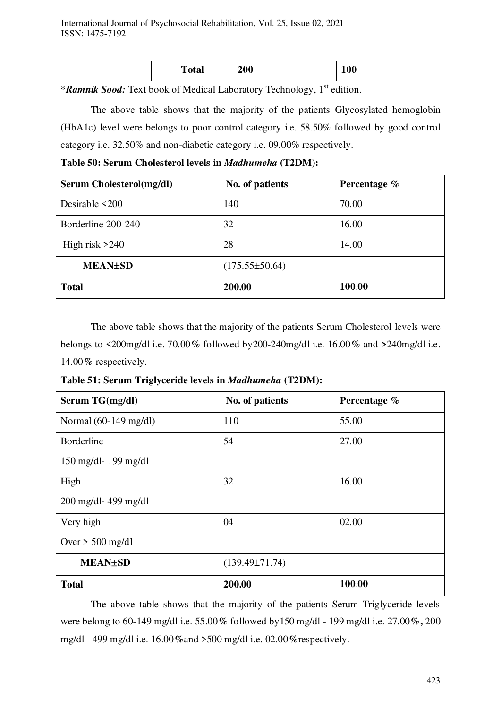|  | Total | 200 | 100 |
|--|-------|-----|-----|
|--|-------|-----|-----|

\**Ramnik Sood:* Text book of Medical Laboratory Technology, 1st edition.

 The above table shows that the majority of the patients Glycosylated hemoglobin (HbA1c) level were belongs to poor control category i.e. 58.50% followed by good control category i.e. 32.50% and non-diabetic category i.e. 09.00% respectively.

**Table 50: Serum Cholesterol levels in** *Madhumeha* **(T2DM):** 

| Serum Cholesterol(mg/dl) | No. of patients    | Percentage % |
|--------------------------|--------------------|--------------|
| Desirable $\leq 200$     | 140                | 70.00        |
| Borderline 200-240       | 32                 | 16.00        |
| High risk $>240$         | 28                 | 14.00        |
| <b>MEAN±SD</b>           | $(175.55\pm50.64)$ |              |
| <b>Total</b>             | 200.00             | 100.00       |

The above table shows that the majority of the patients Serum Cholesterol levels were belongs to <200mg/dl i.e. 70.00**%** followed by200-240mg/dl i.e. 16.00**%** and **>**240mg/dl i.e. 14.00**%** respectively.

**Table 51: Serum Triglyceride levels in** *Madhumeha* **(T2DM):** 

| Serum TG(mg/dl)                 | No. of patients      | Percentage % |
|---------------------------------|----------------------|--------------|
| Normal $(60-149 \text{ mg/dl})$ | 110                  | 55.00        |
| <b>Borderline</b>               | 54                   | 27.00        |
| $150 \text{ mg/dl}$ - 199 mg/dl |                      |              |
| High                            | 32                   | 16.00        |
| $200$ mg/dl-499 mg/dl           |                      |              |
| Very high                       | 04                   | 02.00        |
| Over $>$ 500 mg/dl              |                      |              |
| <b>MEAN±SD</b>                  | $(139.49 \pm 71.74)$ |              |
| <b>Total</b>                    | 200.00               | 100.00       |

The above table shows that the majority of the patients Serum Triglyceride levels were belong to 60-149 mg/dl i.e. 55.00**%** followed by150 mg/dl - 199 mg/dl i.e. 27.00**%,** 200 mg/dl - 499 mg/dl i.e. 16.00**%**and >500 mg/dl i.e. 02.00**%**respectively.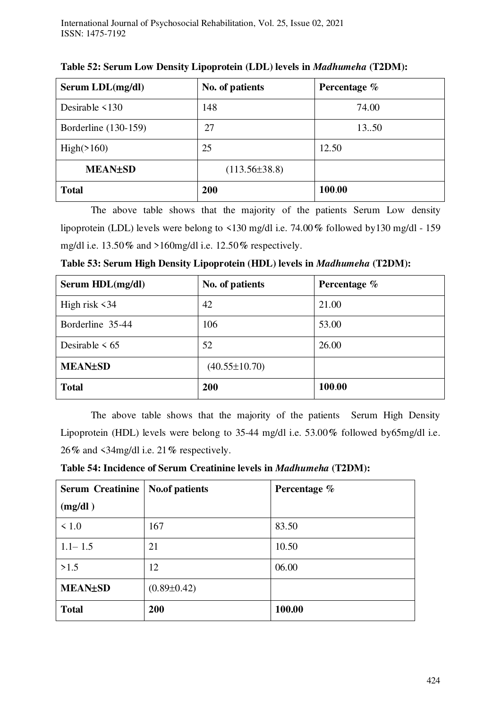| Serum LDL(mg/dl)     | No. of patients   | Percentage % |
|----------------------|-------------------|--------------|
| Desirable $\leq 130$ | 148               | 74.00        |
| Borderline (130-159) | 27                | 13.50        |
| High(>160)           | 25                | 12.50        |
| <b>MEAN±SD</b>       | $(113.56\pm38.8)$ |              |
| <b>Total</b>         | <b>200</b>        | 100.00       |

**Table 52: Serum Low Density Lipoprotein (LDL) levels in** *Madhumeha* **(T2DM):** 

The above table shows that the majority of the patients Serum Low density lipoprotein (LDL) levels were belong to <130 mg/dl i.e. 74.00**%** followed by130 mg/dl - 159 mg/dl i.e. 13.50**%** and >160mg/dl i.e. 12.50**%** respectively.

| Serum HDL(mg/dl)    | No. of patients     | Percentage % |
|---------------------|---------------------|--------------|
| High risk $\leq 34$ | 42                  | 21.00        |
| Borderline 35-44    | 106                 | 53.00        |
| Desirable $\leq 65$ | 52                  | 26.00        |
| <b>MEAN±SD</b>      | $(40.55 \pm 10.70)$ |              |
| <b>Total</b>        | 200                 | 100.00       |

**Table 53: Serum High Density Lipoprotein (HDL) levels in** *Madhumeha* **(T2DM):** 

The above table shows that the majority of the patients Serum High Density Lipoprotein (HDL) levels were belong to 35-44 mg/dl i.e. 53.00**%** followed by65mg/dl i.e. 26**%** and <34mg/dl i.e. 21**%** respectively.

**Table 54: Incidence of Serum Creatinine levels in** *Madhumeha* **(T2DM):** 

| <b>Serum Creatinine</b> | <b>No.of patients</b> | Percentage % |
|-------------------------|-----------------------|--------------|
| (mg/dl)                 |                       |              |
| $\leq 1.0$              | 167                   | 83.50        |
| $1.1 - 1.5$             | 21                    | 10.50        |
| >1.5                    | 12                    | 06.00        |
| <b>MEAN±SD</b>          | $(0.89 \pm 0.42)$     |              |
| <b>Total</b>            | 200                   | 100.00       |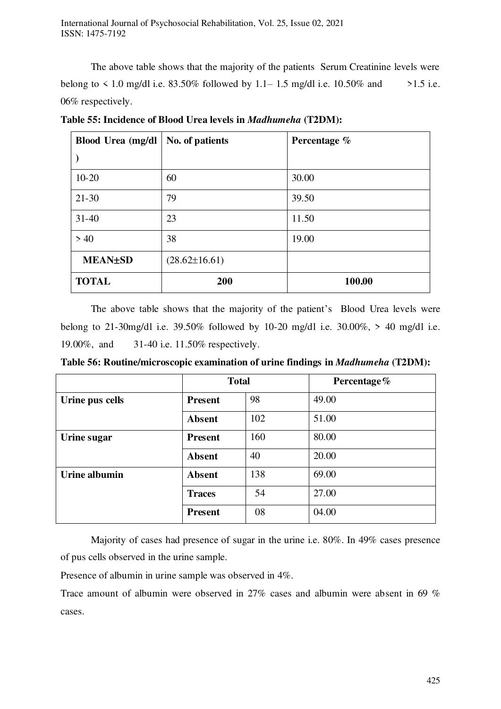The above table shows that the majority of the patients Serum Creatinine levels were belong to  $\leq 1.0$  mg/dl i.e. 83.50% followed by 1.1–1.5 mg/dl i.e. 10.50% and  $\geq 1.5$  i.e. 06% respectively.

| Blood Urea (mg/dl | No. of patients     | Percentage % |
|-------------------|---------------------|--------------|
|                   |                     |              |
| $10 - 20$         | 60                  | 30.00        |
| $21 - 30$         | 79                  | 39.50        |
| $31 - 40$         | 23                  | 11.50        |
| > 40              | 38                  | 19.00        |
| <b>MEAN±SD</b>    | $(28.62 \pm 16.61)$ |              |
| <b>TOTAL</b>      | 200                 | 100.00       |

**Table 55: Incidence of Blood Urea levels in** *Madhumeha* **(T2DM):** 

The above table shows that the majority of the patient's Blood Urea levels were belong to 21-30mg/dl i.e. 39.50% followed by 10-20 mg/dl i.e. 30.00%, > 40 mg/dl i.e. 19.00%, and 31-40 i.e. 11.50% respectively.

**Table 56: Routine/microscopic examination of urine findings in** *Madhumeha* **(T2DM):** 

|                 | <b>Total</b>   |     | Percentage% |
|-----------------|----------------|-----|-------------|
| Urine pus cells | <b>Present</b> | 98  | 49.00       |
|                 | <b>Absent</b>  | 102 | 51.00       |
| Urine sugar     | <b>Present</b> | 160 | 80.00       |
|                 | <b>Absent</b>  | 40  | 20.00       |
| Urine albumin   | <b>Absent</b>  | 138 | 69.00       |
|                 | <b>Traces</b>  | 54  | 27.00       |
|                 | <b>Present</b> | 08  | 04.00       |

Majority of cases had presence of sugar in the urine i.e. 80%. In 49% cases presence of pus cells observed in the urine sample.

Presence of albumin in urine sample was observed in 4%.

Trace amount of albumin were observed in 27% cases and albumin were absent in 69 % cases.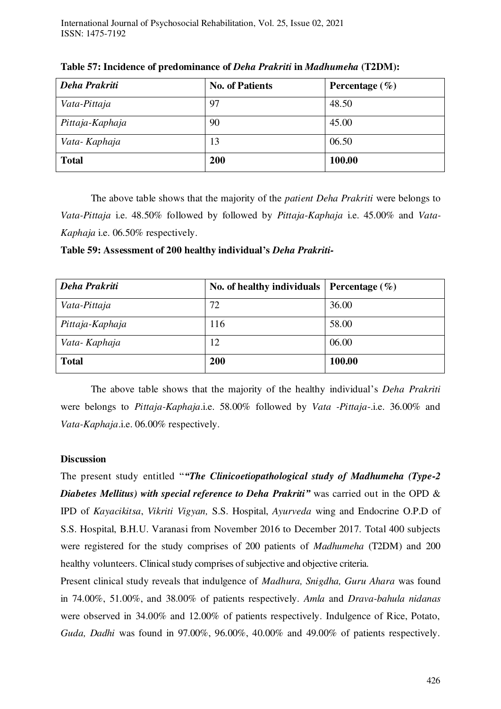| Deha Prakriti   | <b>No. of Patients</b> | Percentage $(\% )$ |
|-----------------|------------------------|--------------------|
| Vata-Pittaja    | 97                     | 48.50              |
| Pittaja-Kaphaja | 90                     | 45.00              |
| Vata-Kaphaja    | 13                     | 06.50              |
| <b>Total</b>    | 200                    | 100.00             |

**Table 57: Incidence of predominance of** *Deha Prakriti* **in** *Madhumeha* **(T2DM):** 

The above table shows that the majority of the *patient Deha Prakriti* were belongs to *Vata-Pittaja* i.e. 48.50% followed by followed by *Pittaja*-*Kaphaja* i.e. 45.00% and *Vata-Kaphaja* i.e. 06.50% respectively.

**Table 59: Assessment of 200 healthy individual's** *Deha Prakriti-*

| Deha Prakriti   | No. of healthy individuals | Percentage $(\% )$ |
|-----------------|----------------------------|--------------------|
| Vata-Pittaja    | 72                         | 36.00              |
| Pittaja-Kaphaja | 116                        | 58.00              |
| Vata-Kaphaja    | 12                         | 06.00              |
| <b>Total</b>    | 200                        | 100.00             |

The above table shows that the majority of the healthy individual's *Deha Prakriti*  were belongs to *Pittaja-Kaphaja*.i.e. 58.00% followed by *Vata -Pittaja*-.i.e. 36.00% and *Vata-Kaphaja*.i.e. 06.00% respectively.

#### **Discussion**

The present study entitled "*"The Clinicoetiopathological study of Madhumeha (Type-2 Diabetes Mellitus) with special reference to Deha Prakriti<sup>\*</sup>* was carried out in the OPD & IPD of *Kayacikitsa*, *Vikriti Vigyan,* S.S. Hospital, *Ayurveda* wing and Endocrine O.P.D of S.S. Hospital, B.H.U. Varanasi from November 2016 to December 2017. Total 400 subjects were registered for the study comprises of 200 patients of *Madhumeha* (T2DM) and 200 healthy volunteers. Clinical study comprises of subjective and objective criteria.

Present clinical study reveals that indulgence of *Madhura, Snigdha, Guru Ahara* was found in 74.00%, 51.00%, and 38.00% of patients respectively. *Amla* and *Drava-bahula nidanas*  were observed in 34.00% and 12.00% of patients respectively. Indulgence of Rice, Potato, *Guda, Dadhi* was found in 97.00%, 96.00%, 40.00% and 49.00% of patients respectively.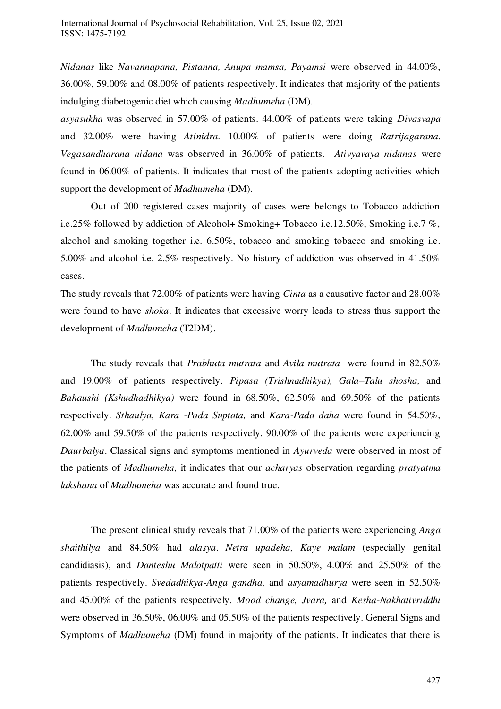*Nidanas* like *Navannapana, Pistanna, Anupa mamsa, Payamsi* were observed in 44.00%, 36.00%, 59.00% and 08.00% of patients respectively. It indicates that majority of the patients indulging diabetogenic diet which causing *Madhumeha* (DM).

*asyasukha* was observed in 57.00% of patients. 44.00% of patients were taking *Divasvapa*  and 32.00% were having *Atinidra.* 10.00% of patients were doing *Ratrijagarana. Vegasandharana nidana* was observed in 36.00% of patients. *Ativyavaya nidanas* were found in 06.00% of patients. It indicates that most of the patients adopting activities which support the development of *Madhumeha* (DM).

Out of 200 registered cases majority of cases were belongs to Tobacco addiction i.e.25% followed by addiction of Alcohol+ Smoking+ Tobacco i.e.12.50%, Smoking i.e.7 %, alcohol and smoking together i.e. 6.50%, tobacco and smoking tobacco and smoking i.e. 5.00% and alcohol i.e. 2.5% respectively. No history of addiction was observed in 41.50% cases.

The study reveals that 72.00% of patients were having *Cinta* as a causative factor and 28.00% were found to have *shoka*. It indicates that excessive worry leads to stress thus support the development of *Madhumeha* (T2DM).

The study reveals that *Prabhuta mutrata* and *Avila mutrata* were found in 82.50% and 19.00% of patients respectively. *Pipasa (Trishnadhikya), Gala–Talu shosha,* and *Bahaushi (Kshudhadhikya)* were found in 68.50%, 62.50% and 69.50% of the patients respectively. *Sthaulya, Kara -Pada Suptata,* and *Kara-Pada daha* were found in 54.50%, 62.00% and 59.50% of the patients respectively. 90.00% of the patients were experiencing *Daurbalya*. Classical signs and symptoms mentioned in *Ayurveda* were observed in most of the patients of *Madhumeha,* it indicates that our *acharyas* observation regarding *pratyatma lakshana* of *Madhumeha* was accurate and found true.

The present clinical study reveals that 71.00% of the patients were experiencing *Anga shaithilya* and 84.50% had *alasya*. *Netra upadeha, Kaye malam* (especially genital candidiasis), and *Danteshu Malotpatti* were seen in 50.50%, 4.00% and 25.50% of the patients respectively. *Svedadhikya-Anga gandha,* and *asyamadhurya* were seen in 52.50% and 45.00% of the patients respectively. *Mood change, Jvara,* and *Kesha-Nakhativriddhi*  were observed in 36.50%, 06.00% and 05.50% of the patients respectively. General Signs and Symptoms of *Madhumeha* (DM) found in majority of the patients. It indicates that there is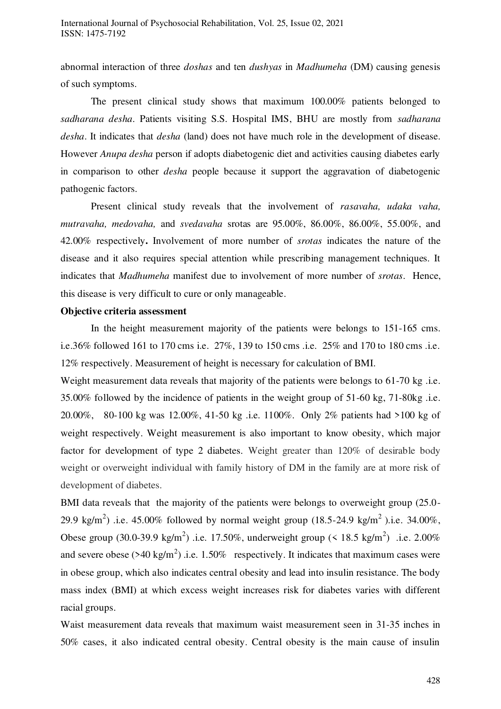abnormal interaction of three *doshas* and ten *dushyas* in *Madhumeha* (DM) causing genesis of such symptoms.

The present clinical study shows that maximum 100.00% patients belonged to *sadharana desha*. Patients visiting S.S. Hospital IMS, BHU are mostly from *sadharana desha*. It indicates that *desha* (land) does not have much role in the development of disease. However *Anupa desha* person if adopts diabetogenic diet and activities causing diabetes early in comparison to other *desha* people because it support the aggravation of diabetogenic pathogenic factors.

Present clinical study reveals that the involvement of *rasavaha, udaka vaha, mutravaha, medovaha,* and *svedavaha* srotas are 95.00%, 86.00%, 86.00%, 55.00%, and 42.00% respectively**.** Involvement of more number of *srotas* indicates the nature of the disease and it also requires special attention while prescribing management techniques. It indicates that *Madhumeha* manifest due to involvement of more number of *srotas*. Hence, this disease is very difficult to cure or only manageable.

#### **Objective criteria assessment**

In the height measurement majority of the patients were belongs to 151-165 cms. i.e.36% followed 161 to 170 cms i.e. 27%, 139 to 150 cms .i.e. 25% and 170 to 180 cms .i.e. 12% respectively. Measurement of height is necessary for calculation of BMI.

Weight measurement data reveals that majority of the patients were belongs to 61-70 kg .i.e. 35.00% followed by the incidence of patients in the weight group of 51-60 kg, 71-80kg .i.e. 20.00%, 80-100 kg was 12.00%, 41-50 kg .i.e. 1100%. Only 2% patients had >100 kg of weight respectively. Weight measurement is also important to know obesity, which major factor for development of type 2 diabetes. Weight greater than 120% of desirable body weight or overweight individual with family history of DM in the family are at more risk of development of diabetes.

BMI data reveals that the majority of the patients were belongs to overweight group (25.0-29.9 kg/m<sup>2</sup>) .i.e. 45.00% followed by normal weight group (18.5-24.9 kg/m<sup>2</sup>).i.e. 34.00%, Obese group (30.0-39.9 kg/m<sup>2</sup>) .i.e. 17.50%, underweight group (< 18.5 kg/m<sup>2</sup>) .i.e. 2.00% and severe obese ( $>40 \text{ kg/m}^2$ ) .i.e. 1.50% respectively. It indicates that maximum cases were in obese group, which also indicates central obesity and lead into insulin resistance. The body mass index (BMI) at which excess weight increases risk for diabetes varies with different racial groups.

Waist measurement data reveals that maximum waist measurement seen in 31-35 inches in 50% cases, it also indicated central obesity. Central obesity is the main cause of insulin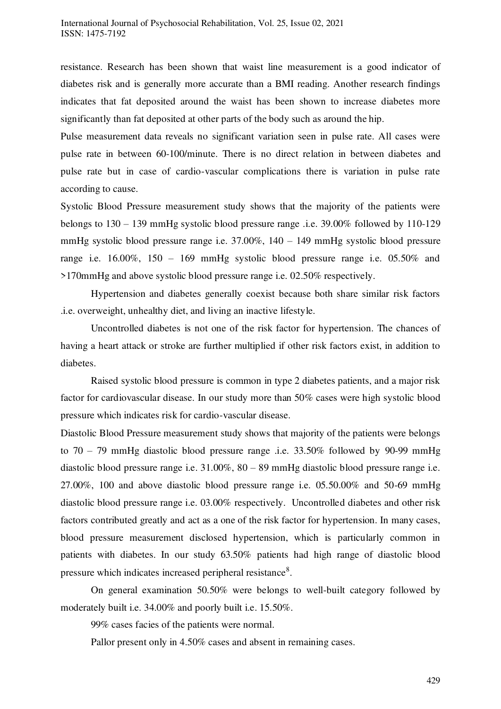resistance. Research has been shown that waist line measurement is a good indicator of diabetes risk and is generally more accurate than a BMI reading. Another research findings indicates that fat deposited around the waist has been shown to increase diabetes more significantly than fat deposited at other parts of the body such as around the hip.

Pulse measurement data reveals no significant variation seen in pulse rate. All cases were pulse rate in between 60-100/minute. There is no direct relation in between diabetes and pulse rate but in case of cardio-vascular complications there is variation in pulse rate according to cause.

Systolic Blood Pressure measurement study shows that the majority of the patients were belongs to 130 – 139 mmHg systolic blood pressure range .i.e. 39.00% followed by 110-129 mmHg systolic blood pressure range i.e. 37.00%, 140 – 149 mmHg systolic blood pressure range i.e. 16.00%, 150 – 169 mmHg systolic blood pressure range i.e. 05.50% and >170mmHg and above systolic blood pressure range i.e. 02.50% respectively.

Hypertension and diabetes generally coexist because both share similar risk factors .i.e. overweight, unhealthy diet, and living an inactive lifestyle.

Uncontrolled diabetes is not one of the risk factor for hypertension. The chances of having a heart attack or stroke are further multiplied if other risk factors exist, in addition to diabetes.

Raised systolic blood pressure is common in type 2 diabetes patients, and a major risk factor for cardiovascular disease. In our study more than 50% cases were high systolic blood pressure which indicates risk for cardio-vascular disease.

Diastolic Blood Pressure measurement study shows that majority of the patients were belongs to 70 – 79 mmHg diastolic blood pressure range .i.e. 33.50% followed by 90-99 mmHg diastolic blood pressure range i.e. 31.00%, 80 – 89 mmHg diastolic blood pressure range i.e. 27.00%, 100 and above diastolic blood pressure range i.e. 05.50.00% and 50-69 mmHg diastolic blood pressure range i.e. 03.00% respectively. Uncontrolled diabetes and other risk factors contributed greatly and act as a one of the risk factor for hypertension. In many cases, blood pressure measurement disclosed hypertension, which is particularly common in patients with diabetes. In our study 63.50% patients had high range of diastolic blood pressure which indicates increased peripheral resistance<sup>8</sup>.

On general examination 50.50% were belongs to well-built category followed by moderately built i.e. 34.00% and poorly built i.e. 15.50%.

99% cases facies of the patients were normal.

Pallor present only in 4.50% cases and absent in remaining cases.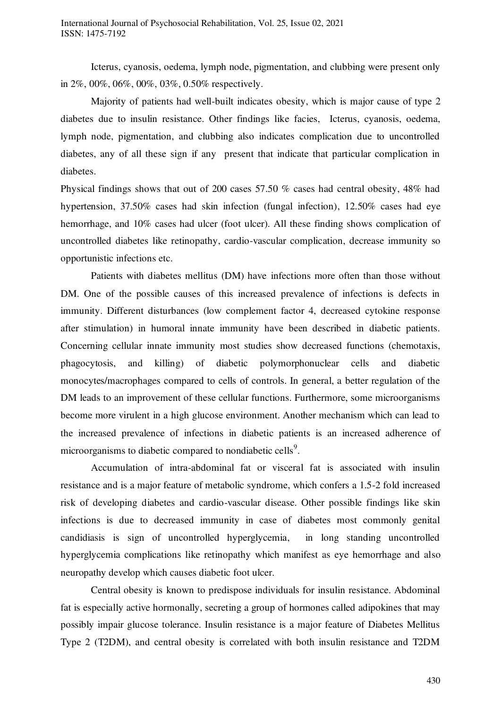Icterus, cyanosis, oedema, lymph node, pigmentation, and clubbing were present only in 2%, 00%, 06%, 00%, 03%, 0.50% respectively.

Majority of patients had well-built indicates obesity, which is major cause of type 2 diabetes due to insulin resistance. Other findings like facies, Icterus, cyanosis, oedema, lymph node, pigmentation, and clubbing also indicates complication due to uncontrolled diabetes, any of all these sign if any present that indicate that particular complication in diabetes.

Physical findings shows that out of 200 cases 57.50 % cases had central obesity, 48% had hypertension, 37.50% cases had skin infection (fungal infection), 12.50% cases had eye hemorrhage, and 10% cases had ulcer (foot ulcer). All these finding shows complication of uncontrolled diabetes like retinopathy, cardio-vascular complication, decrease immunity so opportunistic infections etc.

Patients with diabetes mellitus (DM) have infections more often than those without DM. One of the possible causes of this increased prevalence of infections is defects in immunity. Different disturbances (low complement factor 4, decreased cytokine response after stimulation) in humoral innate immunity have been described in diabetic patients. Concerning cellular innate immunity most studies show decreased functions (chemotaxis, phagocytosis, and killing) of diabetic polymorphonuclear cells and diabetic monocytes/macrophages compared to cells of controls. In general, a better regulation of the DM leads to an improvement of these cellular functions. Furthermore, some microorganisms become more virulent in a high glucose environment. Another mechanism which can lead to the increased prevalence of infections in diabetic patients is an increased adherence of microorganisms to diabetic compared to nondiabetic cells<sup>9</sup>.

Accumulation of intra-abdominal fat or visceral fat is associated with insulin resistance and is a major feature of metabolic syndrome, which confers a 1.5-2 fold increased risk of developing diabetes and cardio-vascular disease. Other possible findings like skin infections is due to decreased immunity in case of diabetes most commonly genital candidiasis is sign of uncontrolled hyperglycemia, in long standing uncontrolled hyperglycemia complications like retinopathy which manifest as eye hemorrhage and also neuropathy develop which causes diabetic foot ulcer.

Central obesity is known to predispose individuals for insulin resistance. Abdominal fat is especially active hormonally, secreting a group of hormones called adipokines that may possibly impair glucose tolerance. Insulin resistance is a major feature of Diabetes Mellitus Type 2 (T2DM), and central obesity is correlated with both insulin resistance and T2DM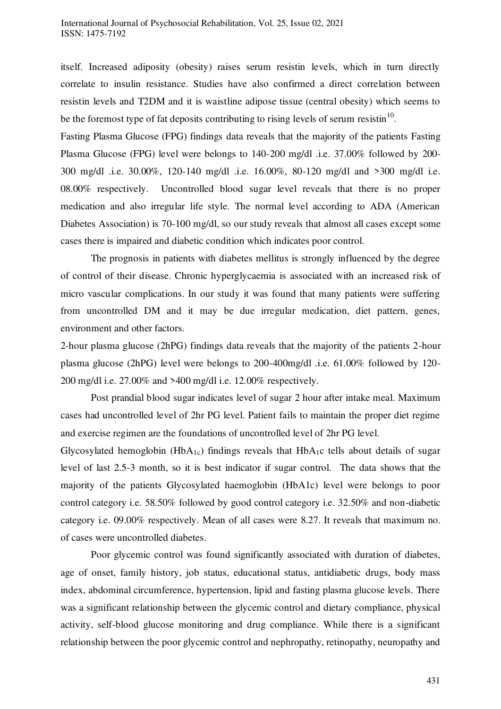itself. Increased adiposity (obesity) raises serum resistin levels, which in turn directly correlate to insulin resistance. Studies have also confirmed a direct correlation between resistin levels and T2DM and it is waistline adipose tissue (central obesity) which seems to be the foremost type of fat deposits contributing to rising levels of serum resistin<sup>10</sup>.

Fasting Plasma Glucose (FPG) findings data reveals that the majority of the patients Fasting Plasma Glucose (FPG) level were belongs to 140-200 mg/dl .i.e. 37.00% followed by 200- 300 mg/dl .i.e. 30.00%, 120-140 mg/dl .i.e. 16.00%, 80-120 mg/dl and >300 mg/dl i.e. 08.00% respectively. Uncontrolled blood sugar level reveals that there is no proper medication and also irregular life style. The normal level according to ADA (American Diabetes Association) is 70-100 mg/dl, so our study reveals that almost all cases except some cases there is impaired and diabetic condition which indicates poor control.

The prognosis in patients with diabetes mellitus is strongly influenced by the degree of control of their disease. Chronic hyperglycaemia is associated with an increased risk of micro vascular complications. In our study it was found that many patients were suffering from uncontrolled DM and it may be due irregular medication, diet pattern, genes, environment and other factors.

2-hour plasma glucose (2hPG) findings data reveals that the majority of the patients 2-hour plasma glucose (2hPG) level were belongs to 200-400mg/dl .i.e. 61.00% followed by 120- 200 mg/dl i.e. 27.00% and >400 mg/dl i.e. 12.00% respectively.

Post prandial blood sugar indicates level of sugar 2 hour after intake meal. Maximum cases had uncontrolled level of 2hr PG level. Patient fails to maintain the proper diet regime and exercise regimen are the foundations of uncontrolled level of 2hr PG level.

Glycosylated hemoglobin (HbA<sub>1c</sub>) findings reveals that HbA<sub>1</sub>c tells about details of sugar level of last 2.5-3 month, so it is best indicator if sugar control. The data shows that the majority of the patients Glycosylated haemoglobin (HbA1c) level were belongs to poor control category i.e. 58.50% followed by good control category i.e. 32.50% and non-diabetic category i.e. 09.00% respectively. Mean of all cases were 8.27. It reveals that maximum no. of cases were uncontrolled diabetes.

Poor glycemic control was found significantly associated with duration of diabetes, age of onset, family history, job status, educational status, antidiabetic drugs, body mass index, abdominal circumference, hypertension, lipid and fasting plasma glucose levels. There was a significant relationship between the glycemic control and dietary compliance, physical activity, self-blood glucose monitoring and drug compliance. While there is a significant relationship between the poor glycemic control and nephropathy, retinopathy, neuropathy and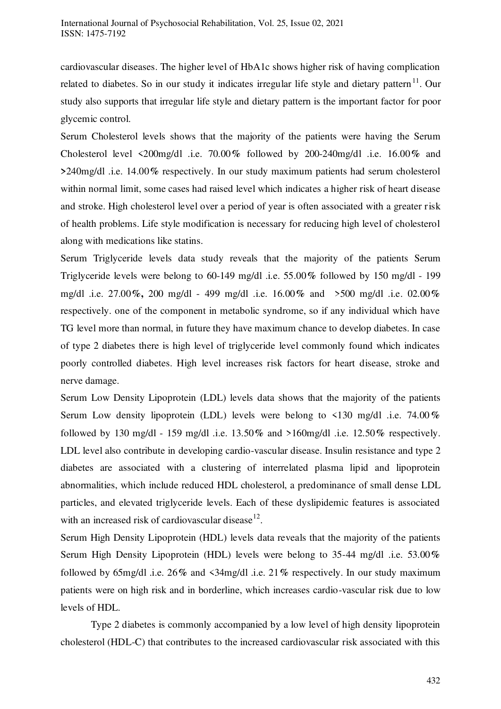cardiovascular diseases. The higher level of HbA1c shows higher risk of having complication related to diabetes. So in our study it indicates irregular life style and dietary pattern<sup>11</sup>. Our study also supports that irregular life style and dietary pattern is the important factor for poor glycemic control.

Serum Cholesterol levels shows that the majority of the patients were having the Serum Cholesterol level <200mg/dl .i.e. 70.00**%** followed by 200-240mg/dl .i.e. 16.00**%** and **>**240mg/dl .i.e. 14.00**%** respectively. In our study maximum patients had serum cholesterol within normal limit, some cases had raised level which indicates a higher risk of heart disease and stroke. High cholesterol level over a period of year is often associated with a greater risk of health problems. Life style modification is necessary for reducing high level of cholesterol along with medications like statins.

Serum Triglyceride levels data study reveals that the majority of the patients Serum Triglyceride levels were belong to 60-149 mg/dl .i.e. 55.00**%** followed by 150 mg/dl - 199 mg/dl .i.e. 27.00**%,** 200 mg/dl - 499 mg/dl .i.e. 16.00**%** and >500 mg/dl .i.e. 02.00**%**  respectively. one of the component in metabolic syndrome, so if any individual which have TG level more than normal, in future they have maximum chance to develop diabetes. In case of type 2 diabetes there is high level of triglyceride level commonly found which indicates poorly controlled diabetes. High level increases risk factors for heart disease, stroke and nerve damage.

Serum Low Density Lipoprotein (LDL) levels data shows that the majority of the patients Serum Low density lipoprotein (LDL) levels were belong to <130 mg/dl .i.e. 74.00**%**  followed by 130 mg/dl - 159 mg/dl .i.e. 13.50**%** and >160mg/dl .i.e. 12.50**%** respectively. LDL level also contribute in developing cardio-vascular disease. Insulin resistance and type 2 diabetes are associated with a clustering of interrelated plasma lipid and lipoprotein abnormalities, which include reduced HDL cholesterol, a predominance of small dense LDL particles, and elevated triglyceride levels. Each of these dyslipidemic features is associated with an increased risk of cardiovascular disease $^{12}$ .

Serum High Density Lipoprotein (HDL) levels data reveals that the majority of the patients Serum High Density Lipoprotein (HDL) levels were belong to 35-44 mg/dl .i.e. 53.00**%**  followed by 65mg/dl .i.e. 26**%** and <34mg/dl .i.e. 21**%** respectively. In our study maximum patients were on high risk and in borderline, which increases cardio-vascular risk due to low levels of HDL.

Type 2 diabetes is commonly accompanied by a low level of high density lipoprotein cholesterol (HDL-C) that contributes to the increased cardiovascular risk associated with this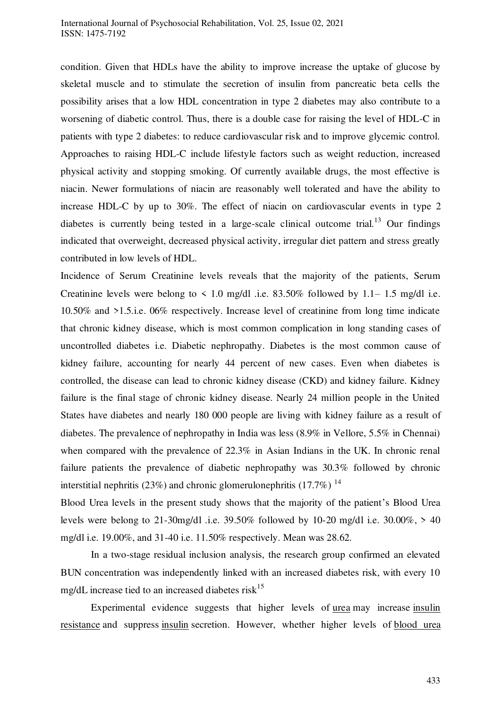condition. Given that HDLs have the ability to improve increase the uptake of glucose by skeletal muscle and to stimulate the secretion of insulin from pancreatic beta cells the possibility arises that a low HDL concentration in type 2 diabetes may also contribute to a worsening of diabetic control. Thus, there is a double case for raising the level of HDL-C in patients with type 2 diabetes: to reduce cardiovascular risk and to improve glycemic control. Approaches to raising HDL-C include lifestyle factors such as weight reduction, increased physical activity and stopping smoking. Of currently available drugs, the most effective is niacin. Newer formulations of niacin are reasonably well tolerated and have the ability to increase HDL-C by up to 30%. The effect of niacin on cardiovascular events in type 2 diabetes is currently being tested in a large-scale clinical outcome trial.<sup>13</sup> Our findings indicated that overweight, decreased physical activity, irregular diet pattern and stress greatly contributed in low levels of HDL.

Incidence of Serum Creatinine levels reveals that the majority of the patients, Serum Creatinine levels were belong to  $\leq 1.0$  mg/dl .i.e. 83.50% followed by 1.1–1.5 mg/dl i.e. 10.50% and >1.5.i.e. 06% respectively. Increase level of creatinine from long time indicate that chronic kidney disease, which is most common complication in long standing cases of uncontrolled diabetes i.e. Diabetic nephropathy. Diabetes is the most common cause of kidney failure, accounting for nearly 44 percent of new cases. Even when diabetes is controlled, the disease can lead to chronic kidney disease (CKD) and kidney failure. Kidney failure is the final stage of chronic kidney disease. Nearly 24 million people in the United States have diabetes and nearly 180 000 people are living with kidney failure as a result of diabetes. The prevalence of nephropathy in India was less (8.9% in Vellore, 5.5% in Chennai) when compared with the prevalence of 22.3% in Asian Indians in the UK. In chronic renal failure patients the prevalence of diabetic nephropathy was 30.3% followed by chronic interstitial nephritis (23%) and chronic glomerulonephritis (17.7%)  $^{14}$ 

Blood Urea levels in the present study shows that the majority of the patient's Blood Urea levels were belong to 21-30mg/dl .i.e.  $39.50\%$  followed by 10-20 mg/dl i.e.  $30.00\%$ ,  $> 40$ mg/dl i.e. 19.00%, and 31-40 i.e. 11.50% respectively. Mean was 28.62.

In a two-stage residual inclusion analysis, the research group confirmed an elevated BUN concentration was independently linked with an increased diabetes risk, with every 10 mg/dL increase tied to an increased diabetes risk $^{15}$ 

Experimental evidence suggests that higher levels of [urea](https://www.sciencedirect.com/topics/medicine-and-dentistry/urea) may increase [insulin](https://www.sciencedirect.com/topics/medicine-and-dentistry/insulin-resistance)  [resistance](https://www.sciencedirect.com/topics/medicine-and-dentistry/insulin-resistance) and suppres[s insulin](https://www.sciencedirect.com/topics/medicine-and-dentistry/insulin-medication) secretion. However, whether higher levels of [blood urea](https://www.sciencedirect.com/topics/medicine-and-dentistry/blood-urea-nitrogen)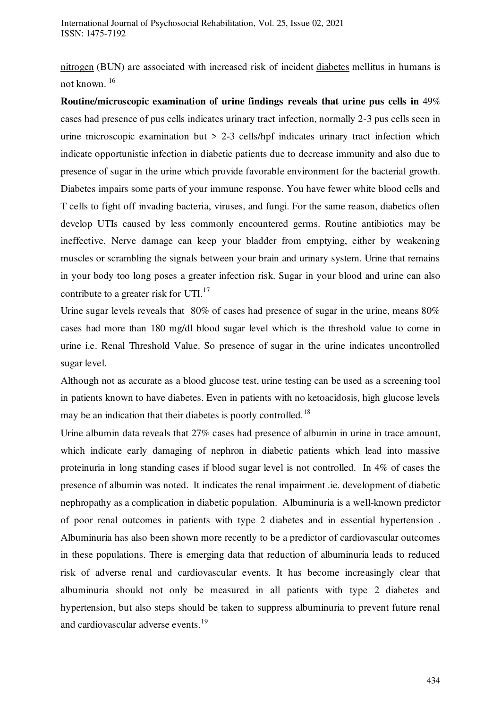[nitrogen](https://www.sciencedirect.com/topics/medicine-and-dentistry/blood-urea-nitrogen) (BUN) are associated with increased risk of incident [diabetes](https://www.sciencedirect.com/topics/medicine-and-dentistry/diabetes) mellitus in humans is not known. <sup>16</sup>

**Routine/microscopic examination of urine findings reveals that urine pus cells in** 49% cases had presence of pus cells indicates urinary tract infection, normally 2-3 pus cells seen in urine microscopic examination but > 2-3 cells/hpf indicates urinary tract infection which indicate opportunistic infection in diabetic patients due to decrease immunity and also due to presence of sugar in the urine which provide favorable environment for the bacterial growth. Diabetes impairs some parts of your immune response. You have fewer white blood cells and T cells to fight off invading bacteria, viruses, and fungi. For the same reason, diabetics often develop UTIs caused by less commonly encountered germs. Routine antibiotics may be ineffective. Nerve damage can keep your bladder from emptying, either by weakening muscles or scrambling the signals between your brain and urinary system. Urine that remains in your body too long poses a greater infection risk. Sugar in your blood and urine can also contribute to a greater risk for UTI.<sup>17</sup>

Urine sugar levels reveals that 80% of cases had presence of sugar in the urine, means 80% cases had more than 180 mg/dl blood sugar level which is the threshold value to come in urine i.e. Renal Threshold Value. So presence of sugar in the urine indicates uncontrolled sugar level.

Although not as accurate as a blood glucose test, urine testing can be used as a screening tool in patients known to have diabetes. Even in patients with no ketoacidosis, high glucose levels may be an indication that their diabetes is poorly controlled.<sup>18</sup>

Urine albumin data reveals that 27% cases had presence of albumin in urine in trace amount, which indicate early damaging of nephron in diabetic patients which lead into massive proteinuria in long standing cases if blood sugar level is not controlled. In 4% of cases the presence of albumin was noted. It indicates the renal impairment .ie. development of diabetic nephropathy as a complication in diabetic population. Albuminuria is a well-known predictor of poor renal outcomes in patients with type 2 diabetes and in essential hypertension . Albuminuria has also been shown more recently to be a predictor of cardiovascular outcomes in these populations. There is emerging data that reduction of albuminuria leads to reduced risk of adverse renal and cardiovascular events. It has become increasingly clear that albuminuria should not only be measured in all patients with type 2 diabetes and hypertension, but also steps should be taken to suppress albuminuria to prevent future renal and cardiovascular adverse events.<sup>19</sup>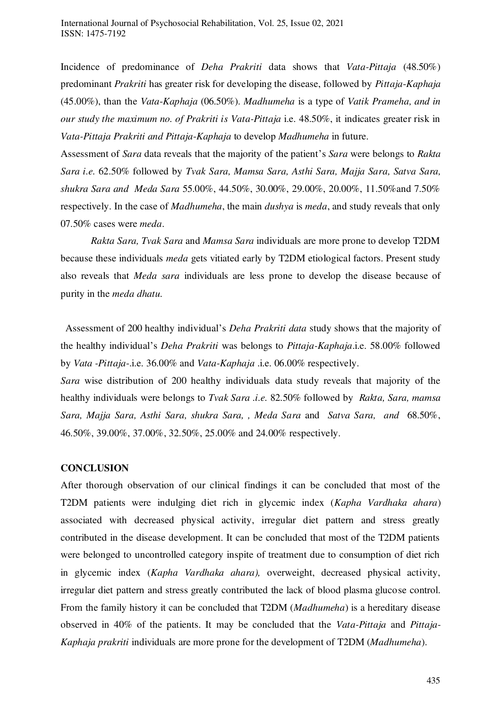Incidence of predominance of *Deha Prakriti* data shows that *Vata-Pittaja* (48.50%) predominant *Prakriti* has greater risk for developing the disease, followed by *Pittaja*-*Kaphaja* (45.00%), than the *Vata*-*Kaphaja* (06.50%). *Madhumeha* is a type of *Vatik Prameha, and in our study the maximum no. of Prakriti is Vata-Pittaja* i.e. 48.50%, it indicates greater risk in *Vata-Pittaja Prakriti and Pittaja*-*Kaphaja* to develop *Madhumeha* in future.

Assessment of *Sara* data reveals that the majority of the patient's *Sara* were belongs to *Rakta Sara i.e.* 62.50% followed by *Tvak Sara, Mamsa Sara, Asthi Sara, Majja Sara, Satva Sara, shukra Sara and Meda Sara* 55.00%, 44.50%, 30.00%, 29.00%, 20.00%, 11.50%and 7.50% respectively. In the case of *Madhumeha*, the main *dushya* is *meda*, and study reveals that only 07.50% cases were *meda*.

*Rakta Sara, Tvak Sara* and *Mamsa Sara* individuals are more prone to develop T2DM because these individuals *meda* gets vitiated early by T2DM etiological factors. Present study also reveals that *Meda sara* individuals are less prone to develop the disease because of purity in the *meda dhatu.* 

 Assessment of 200 healthy individual's *Deha Prakriti data* study shows that the majority of the healthy individual's *Deha Prakriti* was belongs to *Pittaja-Kaphaja*.i.e. 58.00% followed by *Vata -Pittaja*-.i.e. 36.00% and *Vata-Kaphaja* .i.e. 06.00% respectively.

*Sara* wise distribution of 200 healthy individuals data study reveals that majority of the healthy individuals were belongs to *Tvak Sara .i.e.* 82.50% followed by *Rakta, Sara, mamsa Sara, Majja Sara, Asthi Sara, shukra Sara, , Meda Sara* and *Satva Sara, and* 68.50%, 46.50%, 39.00%, 37.00%, 32.50%, 25.00% and 24.00% respectively.

#### **CONCLUSION**

After thorough observation of our clinical findings it can be concluded that most of the T2DM patients were indulging diet rich in glycemic index (*Kapha Vardhaka ahara*) associated with decreased physical activity, irregular diet pattern and stress greatly contributed in the disease development. It can be concluded that most of the T2DM patients were belonged to uncontrolled category inspite of treatment due to consumption of diet rich in glycemic index (*Kapha Vardhaka ahara),* overweight, decreased physical activity, irregular diet pattern and stress greatly contributed the lack of blood plasma glucose control. From the family history it can be concluded that T2DM (*Madhumeha*) is a hereditary disease observed in 40% of the patients. It may be concluded that the *Vata-Pittaja* and *Pittaja-Kaphaja prakriti* individuals are more prone for the development of T2DM (*Madhumeha*).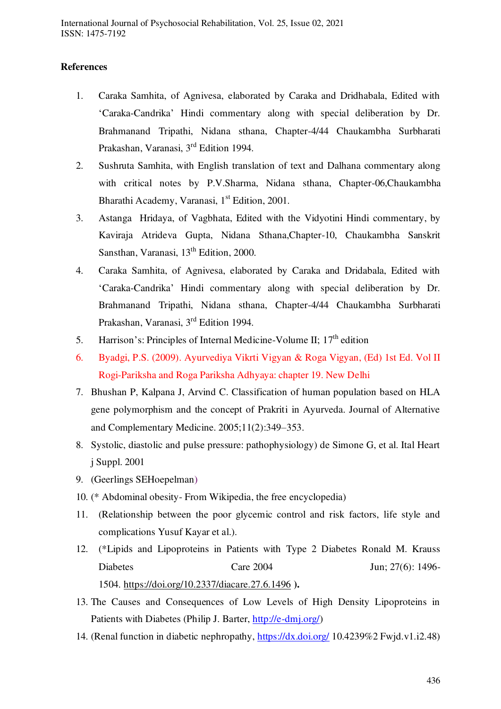# **References**

- 1. Caraka Samhita, of Agnivesa, elaborated by Caraka and Dridhabala, Edited with 'Caraka-Candrika' Hindi commentary along with special deliberation by Dr. Brahmanand Tripathi, Nidana sthana, Chapter-4/44 Chaukambha Surbharati Prakashan, Varanasi, 3rd Edition 1994.
- 2. Sushruta Samhita, with English translation of text and Dalhana commentary along with critical notes by P.V.Sharma, Nidana sthana, Chapter-06,Chaukambha Bharathi Academy, Varanasi, 1<sup>st</sup> Edition, 2001.
- 3. Astanga Hridaya, of Vagbhata, Edited with the Vidyotini Hindi commentary, by Kaviraja Atrideva Gupta, Nidana Sthana,Chapter-10, Chaukambha Sanskrit Sansthan, Varanasi, 13<sup>th</sup> Edition, 2000.
- 4. Caraka Samhita, of Agnivesa, elaborated by Caraka and Dridabala, Edited with 'Caraka-Candrika' Hindi commentary along with special deliberation by Dr. Brahmanand Tripathi, Nidana sthana, Chapter-4/44 Chaukambha Surbharati Prakashan, Varanasi, 3rd Edition 1994.
- 5. Harrison's: Principles of Internal Medicine-Volume II;  $17<sup>th</sup>$  edition
- 6. Byadgi, P.S. (2009). Ayurvediya Vikrti Vigyan & Roga Vigyan, (Ed) 1st Ed. Vol II Rogi-Pariksha and Roga Pariksha Adhyaya: chapter 19. New Delhi
- 7. Bhushan P, Kalpana J, Arvind C. Classification of human population based on HLA gene polymorphism and the concept of Prakriti in Ayurveda. Journal of Alternative and Complementary Medicine. 2005;11(2):349–353.
- 8. Systolic, diastolic and pulse pressure: pathophysiology) de Simone G, et al. Ital Heart j Suppl. 2001
- 9. (Geerlings SEHoepelman)
- 10. (\* Abdominal obesity- From Wikipedia, the free encyclopedia)
- 11. (Relationship between the poor glycemic control and risk factors, life style and complications Yusuf Kayar et al.).
- 12. (\*Lipids and Lipoproteins in Patients with Type 2 Diabetes Ronald M. Krauss Diabetes Care 2004 Jun: 27(6): 1496-1504.<https://doi.org/10.2337/diacare.27.6.1496> **).**
- 13. The Causes and Consequences of Low Levels of High Density Lipoproteins in Patients with Diabetes (Philip J. Barter, [http://e-dmj.org/\)](http://e-dmj.org/)
- 14. (Renal function in diabetic nephropathy,<https://dx.doi.org/>10.4239%2 Fwjd.v1.i2.48)